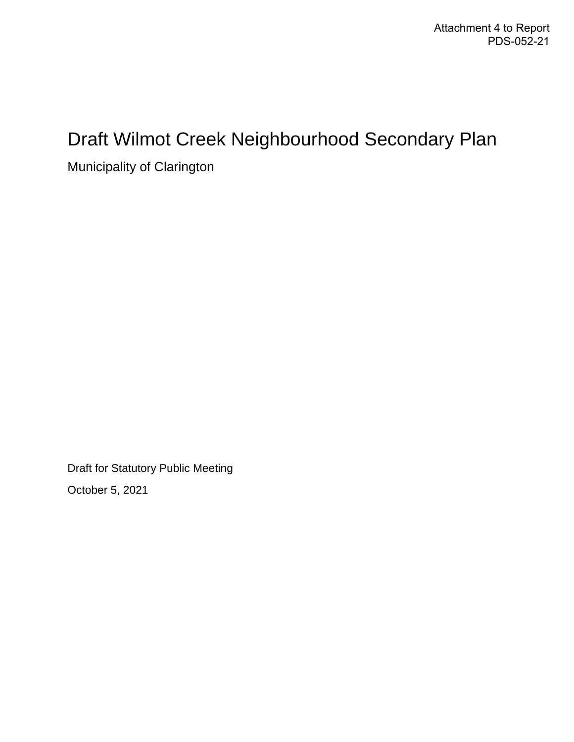# Draft Wilmot Creek Neighbourhood Secondary Plan

Municipality of Clarington

Draft for Statutory Public Meeting

October 5, 2021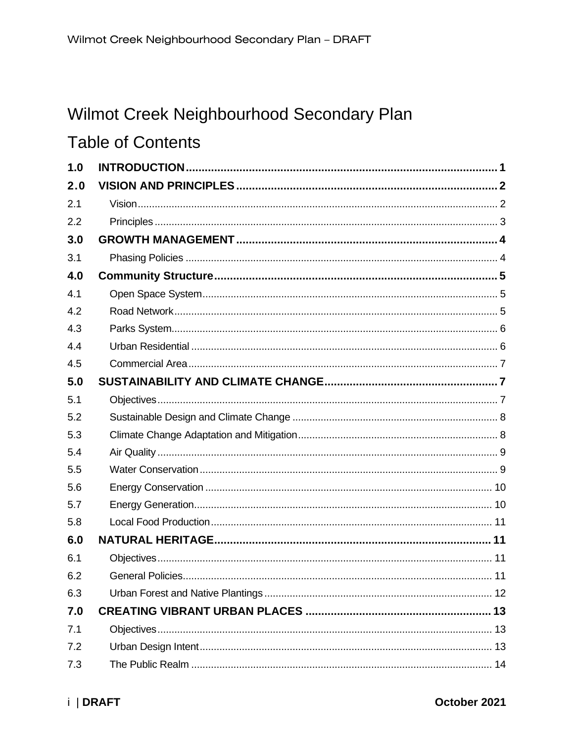# Wilmot Creek Neighbourhood Secondary Plan

# **Table of Contents**

| 1.0 |  |
|-----|--|
| 2.0 |  |
| 2.1 |  |
| 2.2 |  |
| 3.0 |  |
| 3.1 |  |
| 4.0 |  |
| 4.1 |  |
| 4.2 |  |
| 4.3 |  |
| 4.4 |  |
| 4.5 |  |
| 5.0 |  |
| 5.1 |  |
| 5.2 |  |
| 5.3 |  |
| 5.4 |  |
| 5.5 |  |
| 5.6 |  |
| 5.7 |  |
| 5.8 |  |
| 6.0 |  |
| 6.1 |  |
| 6.2 |  |
| 6.3 |  |
| 7.0 |  |
| 7.1 |  |
| 7.2 |  |
| 7.3 |  |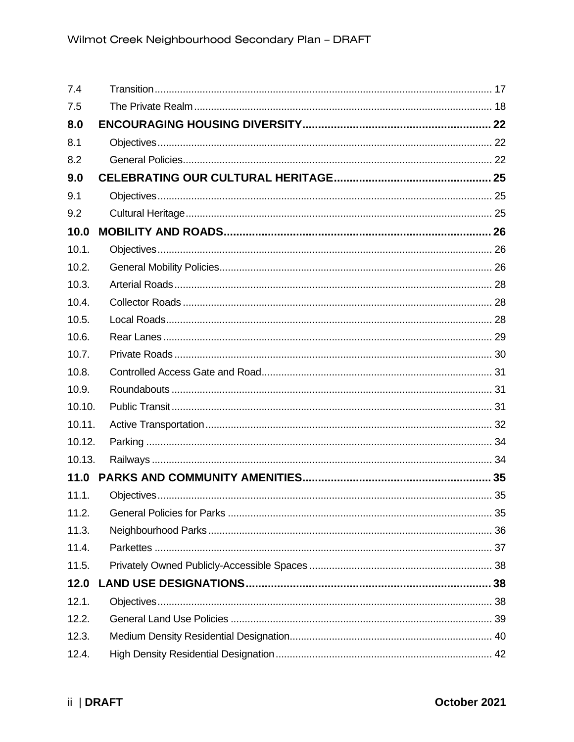| 7.4    |  |
|--------|--|
| 7.5    |  |
| 8.0    |  |
| 8.1    |  |
| 8.2    |  |
| 9.0    |  |
| 9.1    |  |
| 9.2    |  |
| 10.0   |  |
| 10.1.  |  |
| 10.2.  |  |
| 10.3.  |  |
| 10.4.  |  |
| 10.5.  |  |
| 10.6.  |  |
| 10.7.  |  |
| 10.8.  |  |
| 10.9.  |  |
| 10.10. |  |
| 10.11. |  |
| 10.12. |  |
| 10.13. |  |
| 11.0   |  |
| 11.1.  |  |
| 11.2.  |  |
| 11.3.  |  |
| 11.4.  |  |
| 11.5.  |  |
| 12.0   |  |
| 12.1.  |  |
| 12.2.  |  |
| 12.3.  |  |
| 12.4.  |  |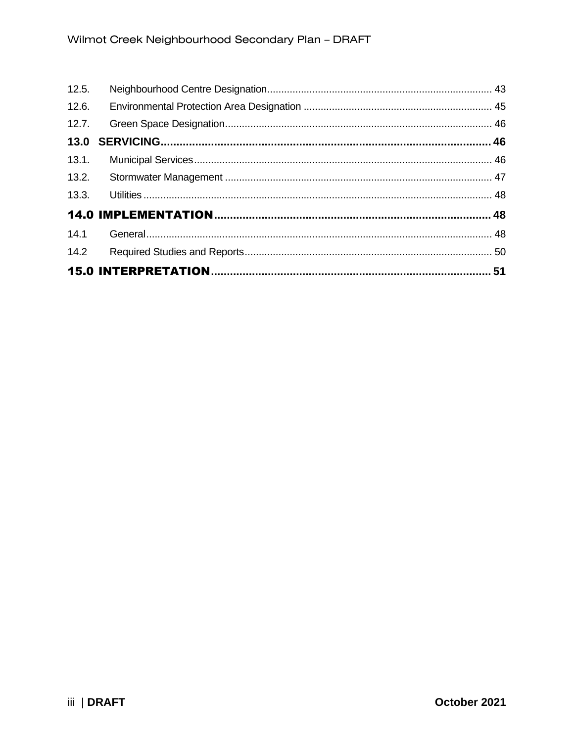| 12.5. |  |
|-------|--|
| 12.6. |  |
|       |  |
|       |  |
| 13.1. |  |
|       |  |
|       |  |
|       |  |
|       |  |
| 14.2  |  |
|       |  |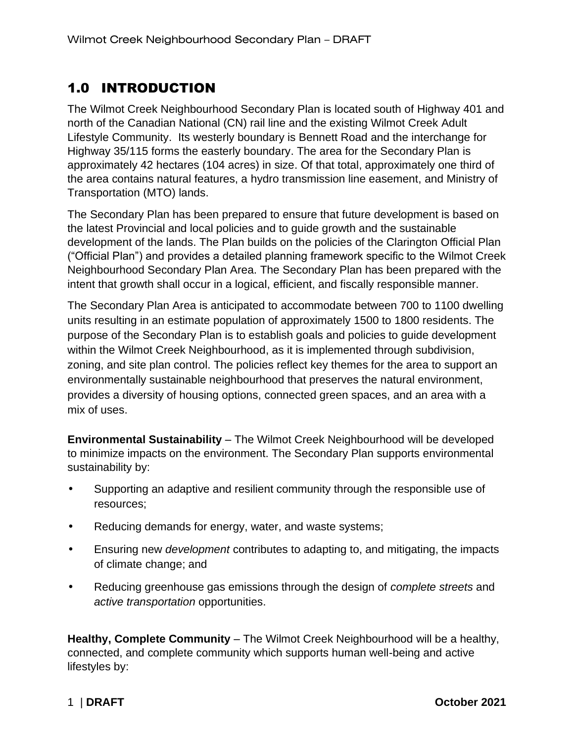## <span id="page-4-0"></span>1.0 INTRODUCTION

The Wilmot Creek Neighbourhood Secondary Plan is located south of Highway 401 and north of the Canadian National (CN) rail line and the existing Wilmot Creek Adult Lifestyle Community. Its westerly boundary is Bennett Road and the interchange for Highway 35/115 forms the easterly boundary. The area for the Secondary Plan is approximately 42 hectares (104 acres) in size. Of that total, approximately one third of the area contains natural features, a hydro transmission line easement, and Ministry of Transportation (MTO) lands.

The Secondary Plan has been prepared to ensure that future development is based on the latest Provincial and local policies and to guide growth and the sustainable development of the lands. The Plan builds on the policies of the Clarington Official Plan ("Official Plan") and provides a detailed planning framework specific to the Wilmot Creek Neighbourhood Secondary Plan Area. The Secondary Plan has been prepared with the intent that growth shall occur in a logical, efficient, and fiscally responsible manner.

The Secondary Plan Area is anticipated to accommodate between 700 to 1100 dwelling units resulting in an estimate population of approximately 1500 to 1800 residents. The purpose of the Secondary Plan is to establish goals and policies to guide development within the Wilmot Creek Neighbourhood, as it is implemented through subdivision, zoning, and site plan control. The policies reflect key themes for the area to support an environmentally sustainable neighbourhood that preserves the natural environment, provides a diversity of housing options, connected green spaces, and an area with a mix of uses.

**Environmental Sustainability** – The Wilmot Creek Neighbourhood will be developed to minimize impacts on the environment. The Secondary Plan supports environmental sustainability by:

- Supporting an adaptive and resilient community through the responsible use of resources;
- Reducing demands for energy, water, and waste systems;
- Ensuring new *development* contributes to adapting to, and mitigating, the impacts of climate change; and
- Reducing greenhouse gas emissions through the design of *complete streets* and *active transportation* opportunities.

**Healthy, Complete Community** – The Wilmot Creek Neighbourhood will be a healthy, connected, and complete community which supports human well-being and active lifestyles by: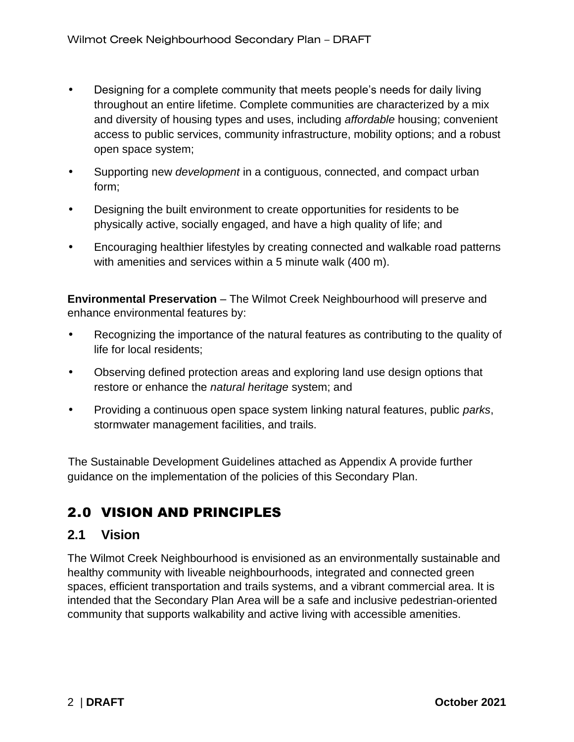- Designing for a complete community that meets people's needs for daily living throughout an entire lifetime. Complete communities are characterized by a mix and diversity of housing types and uses, including *affordable* housing; convenient access to public services, community infrastructure, mobility options; and a robust open space system;
- Supporting new *development* in a contiguous, connected, and compact urban form;
- Designing the built environment to create opportunities for residents to be physically active, socially engaged, and have a high quality of life; and
- Encouraging healthier lifestyles by creating connected and walkable road patterns with amenities and services within a 5 minute walk (400 m).

**Environmental Preservation** – The Wilmot Creek Neighbourhood will preserve and enhance environmental features by:

- Recognizing the importance of the natural features as contributing to the quality of life for local residents;
- Observing defined protection areas and exploring land use design options that restore or enhance the *natural heritage* system; and
- Providing a continuous open space system linking natural features, public *parks*, stormwater management facilities, and trails.

The Sustainable Development Guidelines attached as Appendix A provide further guidance on the implementation of the policies of this Secondary Plan.

## <span id="page-5-0"></span>2.0 VISION AND PRINCIPLES

### <span id="page-5-1"></span>**2.1 Vision**

The Wilmot Creek Neighbourhood is envisioned as an environmentally sustainable and healthy community with liveable neighbourhoods, integrated and connected green spaces, efficient transportation and trails systems, and a vibrant commercial area. It is intended that the Secondary Plan Area will be a safe and inclusive pedestrian-oriented community that supports walkability and active living with accessible amenities.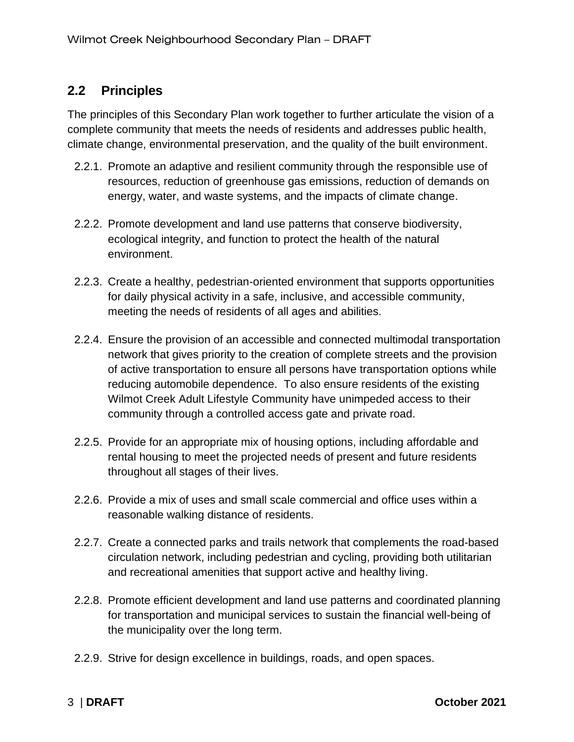### <span id="page-6-0"></span>**2.2 Principles**

The principles of this Secondary Plan work together to further articulate the vision of a complete community that meets the needs of residents and addresses public health, climate change, environmental preservation, and the quality of the built environment.

- 2.2.1. Promote an adaptive and resilient community through the responsible use of resources, reduction of greenhouse gas emissions, reduction of demands on energy, water, and waste systems, and the impacts of climate change.
- 2.2.2. Promote development and land use patterns that conserve biodiversity, ecological integrity, and function to protect the health of the natural environment.
- 2.2.3. Create a healthy, pedestrian-oriented environment that supports opportunities for daily physical activity in a safe, inclusive, and accessible community, meeting the needs of residents of all ages and abilities.
- 2.2.4. Ensure the provision of an accessible and connected multimodal transportation network that gives priority to the creation of complete streets and the provision of active transportation to ensure all persons have transportation options while reducing automobile dependence. To also ensure residents of the existing Wilmot Creek Adult Lifestyle Community have unimpeded access to their community through a controlled access gate and private road.
- 2.2.5. Provide for an appropriate mix of housing options, including affordable and rental housing to meet the projected needs of present and future residents throughout all stages of their lives.
- 2.2.6. Provide a mix of uses and small scale commercial and office uses within a reasonable walking distance of residents.
- 2.2.7. Create a connected parks and trails network that complements the road-based circulation network, including pedestrian and cycling, providing both utilitarian and recreational amenities that support active and healthy living.
- 2.2.8. Promote efficient development and land use patterns and coordinated planning for transportation and municipal services to sustain the financial well-being of the municipality over the long term.
- 2.2.9. Strive for design excellence in buildings, roads, and open spaces.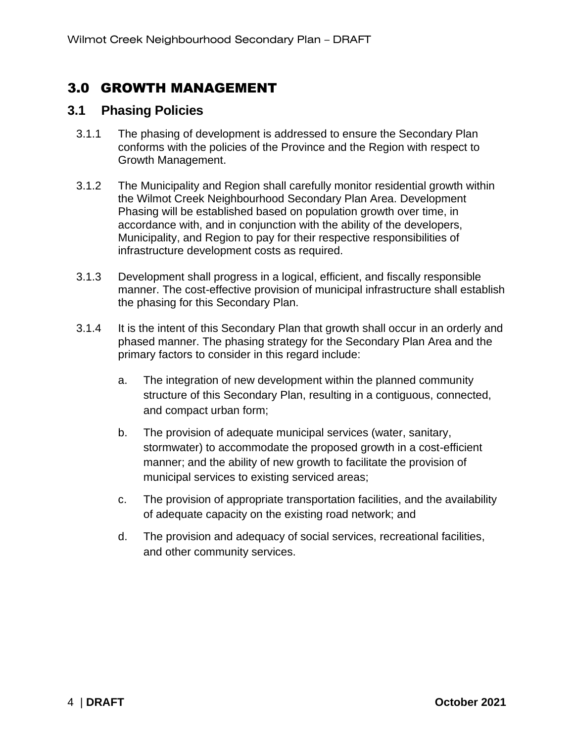### <span id="page-7-0"></span>3.0 GROWTH MANAGEMENT

### <span id="page-7-1"></span>**3.1 Phasing Policies**

- 3.1.1 The phasing of development is addressed to ensure the Secondary Plan conforms with the policies of the Province and the Region with respect to Growth Management.
- 3.1.2 The Municipality and Region shall carefully monitor residential growth within the Wilmot Creek Neighbourhood Secondary Plan Area. Development Phasing will be established based on population growth over time, in accordance with, and in conjunction with the ability of the developers, Municipality, and Region to pay for their respective responsibilities of infrastructure development costs as required.
- 3.1.3 Development shall progress in a logical, efficient, and fiscally responsible manner. The cost-effective provision of municipal infrastructure shall establish the phasing for this Secondary Plan.
- 3.1.4 It is the intent of this Secondary Plan that growth shall occur in an orderly and phased manner. The phasing strategy for the Secondary Plan Area and the primary factors to consider in this regard include:
	- a. The integration of new development within the planned community structure of this Secondary Plan, resulting in a contiguous, connected, and compact urban form;
	- b. The provision of adequate municipal services (water, sanitary, stormwater) to accommodate the proposed growth in a cost-efficient manner; and the ability of new growth to facilitate the provision of municipal services to existing serviced areas;
	- c. The provision of appropriate transportation facilities, and the availability of adequate capacity on the existing road network; and
	- d. The provision and adequacy of social services, recreational facilities, and other community services.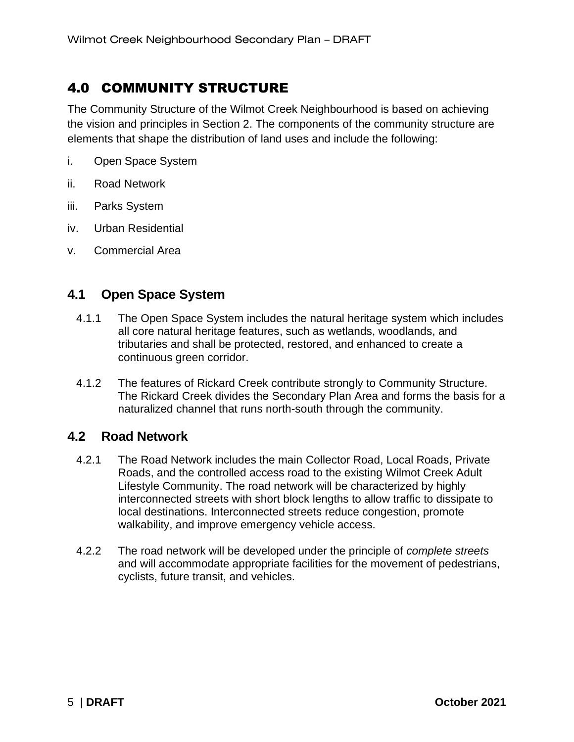### <span id="page-8-0"></span>4.0 COMMUNITY STRUCTURE

The Community Structure of the Wilmot Creek Neighbourhood is based on achieving the vision and principles in Section 2. The components of the community structure are elements that shape the distribution of land uses and include the following:

- i. Open Space System
- ii. Road Network
- iii. Parks System
- iv. Urban Residential
- v. Commercial Area

### <span id="page-8-1"></span>**4.1 Open Space System**

- 4.1.1 The Open Space System includes the natural heritage system which includes all core natural heritage features, such as wetlands, woodlands, and tributaries and shall be protected, restored, and enhanced to create a continuous green corridor.
- 4.1.2 The features of Rickard Creek contribute strongly to Community Structure. The Rickard Creek divides the Secondary Plan Area and forms the basis for a naturalized channel that runs north-south through the community.

### <span id="page-8-2"></span>**4.2 Road Network**

- 4.2.1 The Road Network includes the main Collector Road, Local Roads, Private Roads, and the controlled access road to the existing Wilmot Creek Adult Lifestyle Community. The road network will be characterized by highly interconnected streets with short block lengths to allow traffic to dissipate to local destinations. Interconnected streets reduce congestion, promote walkability, and improve emergency vehicle access.
- 4.2.2 The road network will be developed under the principle of *complete streets* and will accommodate appropriate facilities for the movement of pedestrians, cyclists, future transit, and vehicles.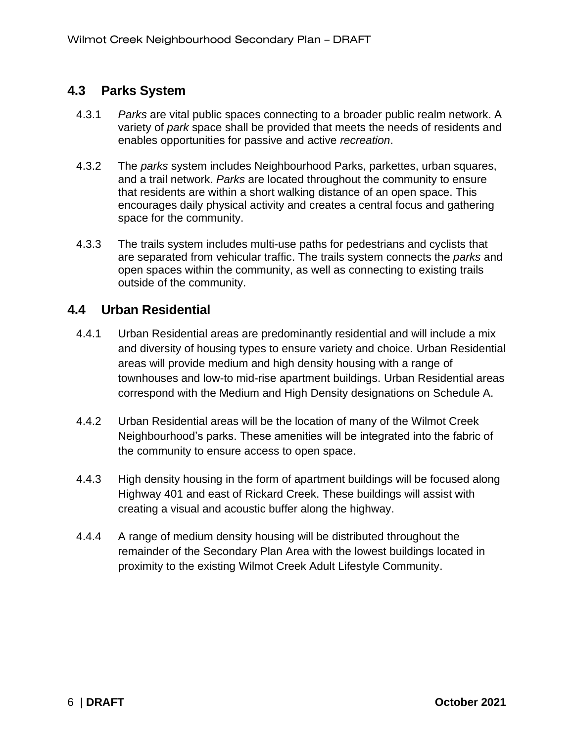### <span id="page-9-0"></span>**4.3 Parks System**

- 4.3.1 *Parks* are vital public spaces connecting to a broader public realm network. A variety of *park* space shall be provided that meets the needs of residents and enables opportunities for passive and active *recreation*.
- 4.3.2 The *parks* system includes Neighbourhood Parks, parkettes, urban squares, and a trail network. *Parks* are located throughout the community to ensure that residents are within a short walking distance of an open space. This encourages daily physical activity and creates a central focus and gathering space for the community.
- 4.3.3 The trails system includes multi-use paths for pedestrians and cyclists that are separated from vehicular traffic. The trails system connects the *parks* and open spaces within the community, as well as connecting to existing trails outside of the community.

### <span id="page-9-1"></span>**4.4 Urban Residential**

- 4.4.1 Urban Residential areas are predominantly residential and will include a mix and diversity of housing types to ensure variety and choice. Urban Residential areas will provide medium and high density housing with a range of townhouses and low-to mid-rise apartment buildings. Urban Residential areas correspond with the Medium and High Density designations on Schedule A.
- 4.4.2 Urban Residential areas will be the location of many of the Wilmot Creek Neighbourhood's parks. These amenities will be integrated into the fabric of the community to ensure access to open space.
- 4.4.3 High density housing in the form of apartment buildings will be focused along Highway 401 and east of Rickard Creek. These buildings will assist with creating a visual and acoustic buffer along the highway.
- 4.4.4 A range of medium density housing will be distributed throughout the remainder of the Secondary Plan Area with the lowest buildings located in proximity to the existing Wilmot Creek Adult Lifestyle Community.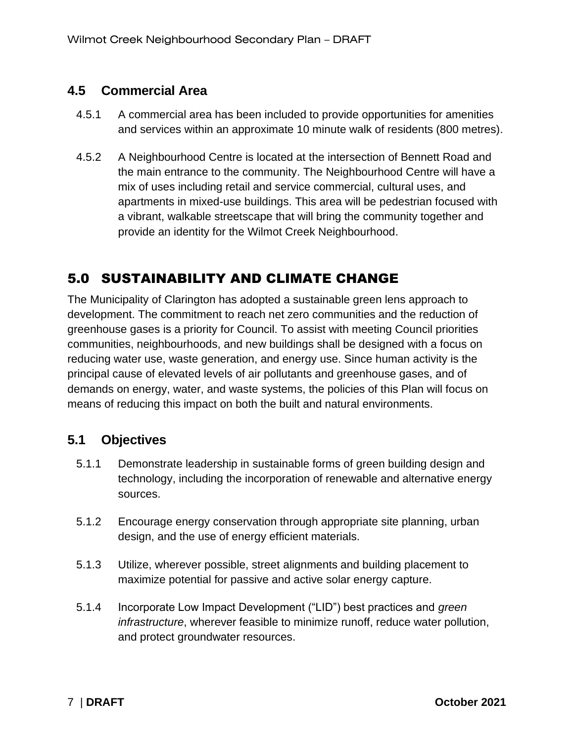### <span id="page-10-0"></span>**4.5 Commercial Area**

- 4.5.1 A commercial area has been included to provide opportunities for amenities and services within an approximate 10 minute walk of residents (800 metres).
- 4.5.2 A Neighbourhood Centre is located at the intersection of Bennett Road and the main entrance to the community. The Neighbourhood Centre will have a mix of uses including retail and service commercial, cultural uses, and apartments in mixed-use buildings. This area will be pedestrian focused with a vibrant, walkable streetscape that will bring the community together and provide an identity for the Wilmot Creek Neighbourhood.

### <span id="page-10-1"></span>5.0 SUSTAINABILITY AND CLIMATE CHANGE

The Municipality of Clarington has adopted a sustainable green lens approach to development. The commitment to reach net zero communities and the reduction of greenhouse gases is a priority for Council. To assist with meeting Council priorities communities, neighbourhoods, and new buildings shall be designed with a focus on reducing water use, waste generation, and energy use. Since human activity is the principal cause of elevated levels of air pollutants and greenhouse gases, and of demands on energy, water, and waste systems, the policies of this Plan will focus on means of reducing this impact on both the built and natural environments.

### <span id="page-10-2"></span>**5.1 Objectives**

- 5.1.1 Demonstrate leadership in sustainable forms of green building design and technology, including the incorporation of renewable and alternative energy sources.
- 5.1.2 Encourage energy conservation through appropriate site planning, urban design, and the use of energy efficient materials.
- 5.1.3 Utilize, wherever possible, street alignments and building placement to maximize potential for passive and active solar energy capture.
- 5.1.4 Incorporate Low Impact Development ("LID") best practices and *green infrastructure*, wherever feasible to minimize runoff, reduce water pollution, and protect groundwater resources.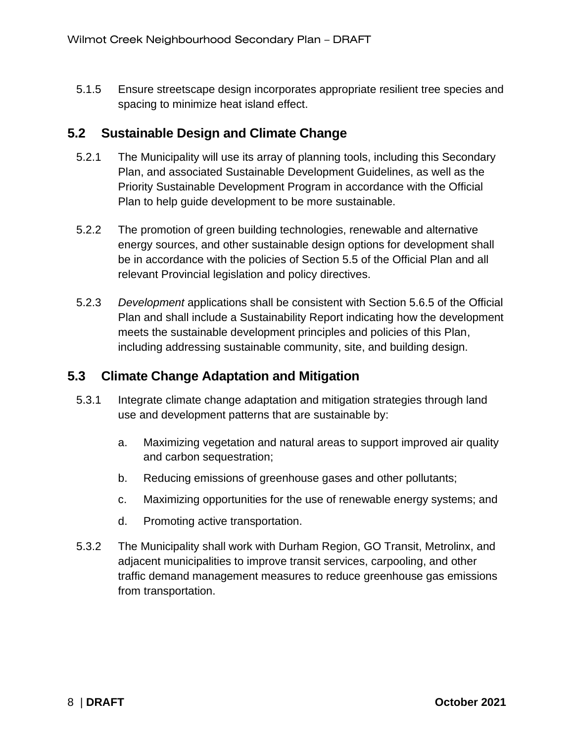5.1.5 Ensure streetscape design incorporates appropriate resilient tree species and spacing to minimize heat island effect.

### <span id="page-11-0"></span>**5.2 Sustainable Design and Climate Change**

- 5.2.1 The Municipality will use its array of planning tools, including this Secondary Plan, and associated Sustainable Development Guidelines, as well as the Priority Sustainable Development Program in accordance with the Official Plan to help guide development to be more sustainable.
- 5.2.2 The promotion of green building technologies, renewable and alternative energy sources, and other sustainable design options for development shall be in accordance with the policies of Section 5.5 of the Official Plan and all relevant Provincial legislation and policy directives.
- 5.2.3 *Development* applications shall be consistent with Section 5.6.5 of the Official Plan and shall include a Sustainability Report indicating how the development meets the sustainable development principles and policies of this Plan, including addressing sustainable community, site, and building design.

### <span id="page-11-1"></span>**5.3 Climate Change Adaptation and Mitigation**

- 5.3.1 Integrate climate change adaptation and mitigation strategies through land use and development patterns that are sustainable by:
	- a. Maximizing vegetation and natural areas to support improved air quality and carbon sequestration;
	- b. Reducing emissions of greenhouse gases and other pollutants;
	- c. Maximizing opportunities for the use of renewable energy systems; and
	- d. Promoting active transportation.
- 5.3.2 The Municipality shall work with Durham Region, GO Transit, Metrolinx, and adjacent municipalities to improve transit services, carpooling, and other traffic demand management measures to reduce greenhouse gas emissions from transportation.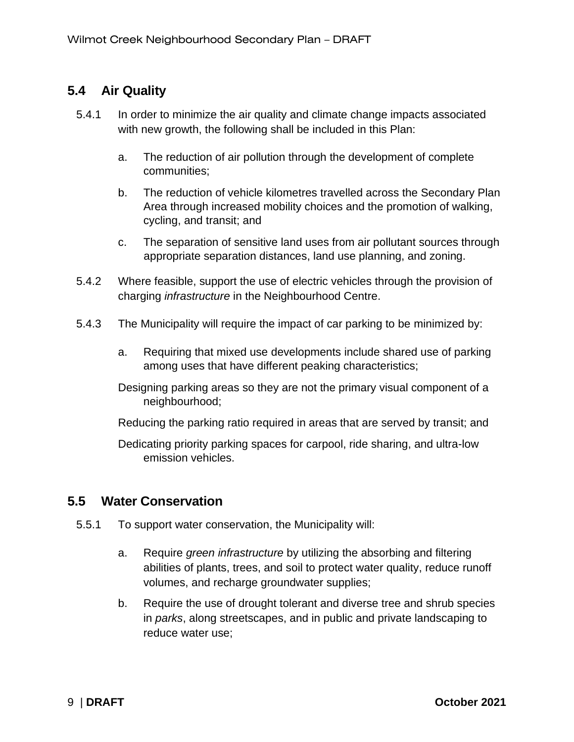### <span id="page-12-0"></span>**5.4 Air Quality**

- 5.4.1 In order to minimize the air quality and climate change impacts associated with new growth, the following shall be included in this Plan:
	- a. The reduction of air pollution through the development of complete communities;
	- b. The reduction of vehicle kilometres travelled across the Secondary Plan Area through increased mobility choices and the promotion of walking, cycling, and transit; and
	- c. The separation of sensitive land uses from air pollutant sources through appropriate separation distances, land use planning, and zoning.
- 5.4.2 Where feasible, support the use of electric vehicles through the provision of charging *infrastructure* in the Neighbourhood Centre.
- 5.4.3 The Municipality will require the impact of car parking to be minimized by:
	- a. Requiring that mixed use developments include shared use of parking among uses that have different peaking characteristics;
	- Designing parking areas so they are not the primary visual component of a neighbourhood;
	- Reducing the parking ratio required in areas that are served by transit; and
	- Dedicating priority parking spaces for carpool, ride sharing, and ultra-low emission vehicles.

### <span id="page-12-1"></span>**5.5 Water Conservation**

- 5.5.1 To support water conservation, the Municipality will:
	- a. Require *green infrastructure* by utilizing the absorbing and filtering abilities of plants, trees, and soil to protect water quality, reduce runoff volumes, and recharge groundwater supplies;
	- b. Require the use of drought tolerant and diverse tree and shrub species in *parks*, along streetscapes, and in public and private landscaping to reduce water use;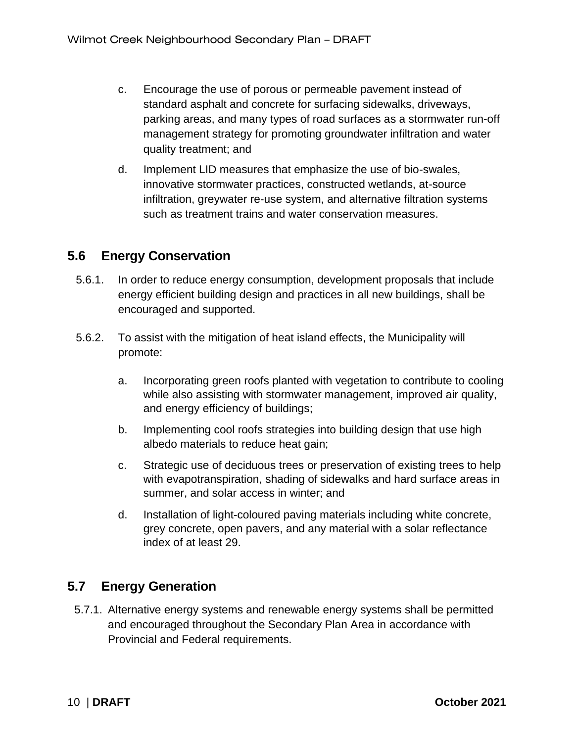- c. Encourage the use of porous or permeable pavement instead of standard asphalt and concrete for surfacing sidewalks, driveways, parking areas, and many types of road surfaces as a stormwater run-off management strategy for promoting groundwater infiltration and water quality treatment; and
- d. Implement LID measures that emphasize the use of bio-swales, innovative stormwater practices, constructed wetlands, at-source infiltration, greywater re-use system, and alternative filtration systems such as treatment trains and water conservation measures.

### <span id="page-13-0"></span>**5.6 Energy Conservation**

- 5.6.1. In order to reduce energy consumption, development proposals that include energy efficient building design and practices in all new buildings, shall be encouraged and supported.
- 5.6.2. To assist with the mitigation of heat island effects, the Municipality will promote:
	- a. Incorporating green roofs planted with vegetation to contribute to cooling while also assisting with stormwater management, improved air quality, and energy efficiency of buildings;
	- b. Implementing cool roofs strategies into building design that use high albedo materials to reduce heat gain;
	- c. Strategic use of deciduous trees or preservation of existing trees to help with evapotranspiration, shading of sidewalks and hard surface areas in summer, and solar access in winter; and
	- d. Installation of light-coloured paving materials including white concrete, grey concrete, open pavers, and any material with a solar reflectance index of at least 29.

### <span id="page-13-1"></span>**5.7 Energy Generation**

5.7.1. Alternative energy systems and renewable energy systems shall be permitted and encouraged throughout the Secondary Plan Area in accordance with Provincial and Federal requirements.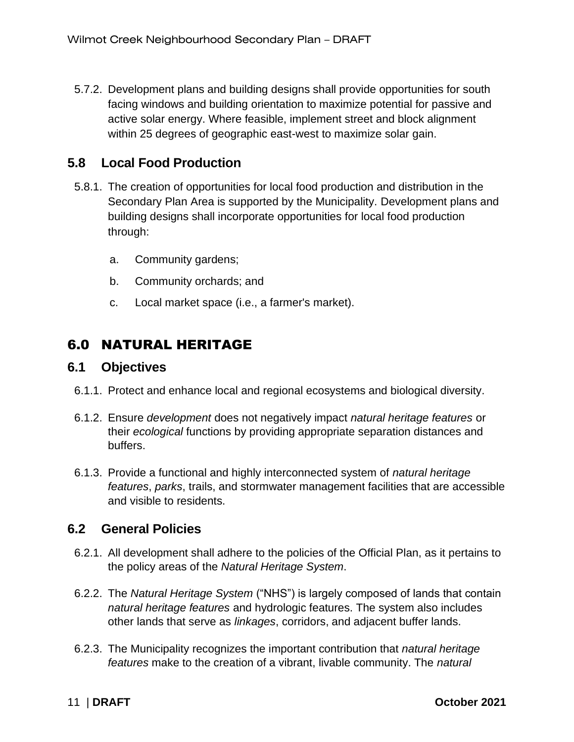5.7.2. Development plans and building designs shall provide opportunities for south facing windows and building orientation to maximize potential for passive and active solar energy. Where feasible, implement street and block alignment within 25 degrees of geographic east-west to maximize solar gain.

### <span id="page-14-0"></span>**5.8 Local Food Production**

- 5.8.1. The creation of opportunities for local food production and distribution in the Secondary Plan Area is supported by the Municipality. Development plans and building designs shall incorporate opportunities for local food production through:
	- a. Community gardens;
	- b. Community orchards; and
	- c. Local market space (i.e., a farmer's market).

### <span id="page-14-1"></span>6.0 NATURAL HERITAGE

### <span id="page-14-2"></span>**6.1 Objectives**

- 6.1.1. Protect and enhance local and regional ecosystems and biological diversity.
- 6.1.2. Ensure *development* does not negatively impact *natural heritage features* or their *ecological* functions by providing appropriate separation distances and buffers.
- 6.1.3. Provide a functional and highly interconnected system of *natural heritage features*, *parks*, trails, and stormwater management facilities that are accessible and visible to residents.

### <span id="page-14-3"></span>**6.2 General Policies**

- 6.2.1. All development shall adhere to the policies of the Official Plan, as it pertains to the policy areas of the *Natural Heritage System*.
- 6.2.2. The *Natural Heritage System* ("NHS") is largely composed of lands that contain *natural heritage features* and hydrologic features. The system also includes other lands that serve as *linkages*, corridors, and adjacent buffer lands.
- 6.2.3. The Municipality recognizes the important contribution that *natural heritage features* make to the creation of a vibrant, livable community. The *natural*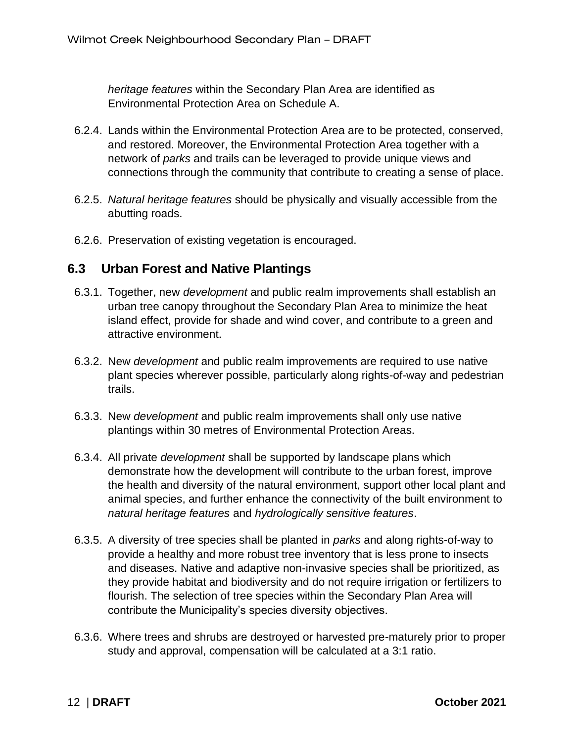*heritage features* within the Secondary Plan Area are identified as Environmental Protection Area on Schedule A.

- 6.2.4. Lands within the Environmental Protection Area are to be protected, conserved, and restored. Moreover, the Environmental Protection Area together with a network of *parks* and trails can be leveraged to provide unique views and connections through the community that contribute to creating a sense of place.
- 6.2.5. *Natural heritage features* should be physically and visually accessible from the abutting roads.
- 6.2.6. Preservation of existing vegetation is encouraged.

### <span id="page-15-0"></span>**6.3 Urban Forest and Native Plantings**

- 6.3.1. Together, new *development* and public realm improvements shall establish an urban tree canopy throughout the Secondary Plan Area to minimize the heat island effect, provide for shade and wind cover, and contribute to a green and attractive environment.
- 6.3.2. New *development* and public realm improvements are required to use native plant species wherever possible, particularly along rights-of-way and pedestrian trails.
- 6.3.3. New *development* and public realm improvements shall only use native plantings within 30 metres of Environmental Protection Areas.
- 6.3.4. All private *development* shall be supported by landscape plans which demonstrate how the development will contribute to the urban forest, improve the health and diversity of the natural environment, support other local plant and animal species, and further enhance the connectivity of the built environment to *natural heritage features* and *hydrologically sensitive features*.
- 6.3.5. A diversity of tree species shall be planted in *parks* and along rights-of-way to provide a healthy and more robust tree inventory that is less prone to insects and diseases. Native and adaptive non-invasive species shall be prioritized, as they provide habitat and biodiversity and do not require irrigation or fertilizers to flourish. The selection of tree species within the Secondary Plan Area will contribute the Municipality's species diversity objectives.
- 6.3.6. Where trees and shrubs are destroyed or harvested pre-maturely prior to proper study and approval, compensation will be calculated at a 3:1 ratio.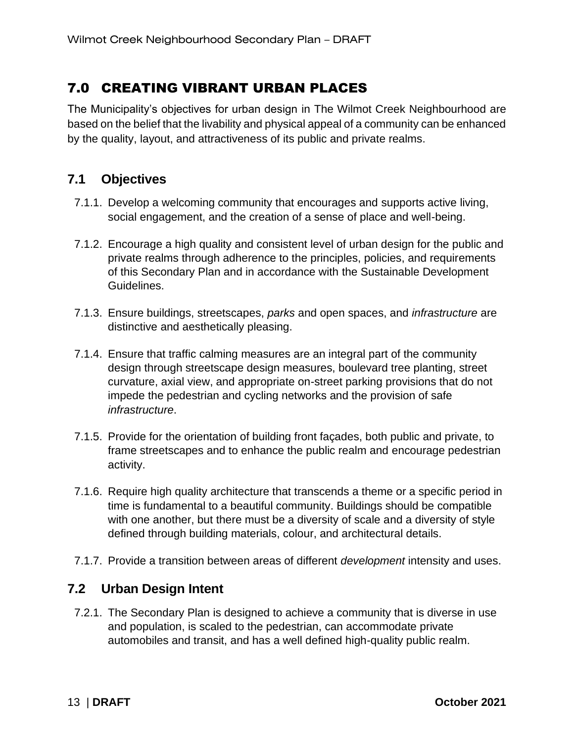### <span id="page-16-0"></span>7.0 CREATING VIBRANT URBAN PLACES

The Municipality's objectives for urban design in The Wilmot Creek Neighbourhood are based on the belief that the livability and physical appeal of a community can be enhanced by the quality, layout, and attractiveness of its public and private realms.

### <span id="page-16-1"></span>**7.1 Objectives**

- 7.1.1. Develop a welcoming community that encourages and supports active living, social engagement, and the creation of a sense of place and well-being.
- 7.1.2. Encourage a high quality and consistent level of urban design for the public and private realms through adherence to the principles, policies, and requirements of this Secondary Plan and in accordance with the Sustainable Development Guidelines.
- 7.1.3. Ensure buildings, streetscapes, *parks* and open spaces, and *infrastructure* are distinctive and aesthetically pleasing.
- 7.1.4. Ensure that traffic calming measures are an integral part of the community design through streetscape design measures, boulevard tree planting, street curvature, axial view, and appropriate on-street parking provisions that do not impede the pedestrian and cycling networks and the provision of safe *infrastructure*.
- 7.1.5. Provide for the orientation of building front façades, both public and private, to frame streetscapes and to enhance the public realm and encourage pedestrian activity.
- 7.1.6. Require high quality architecture that transcends a theme or a specific period in time is fundamental to a beautiful community. Buildings should be compatible with one another, but there must be a diversity of scale and a diversity of style defined through building materials, colour, and architectural details.
- 7.1.7. Provide a transition between areas of different *development* intensity and uses.

### <span id="page-16-2"></span>**7.2 Urban Design Intent**

7.2.1. The Secondary Plan is designed to achieve a community that is diverse in use and population, is scaled to the pedestrian, can accommodate private automobiles and transit, and has a well defined high-quality public realm.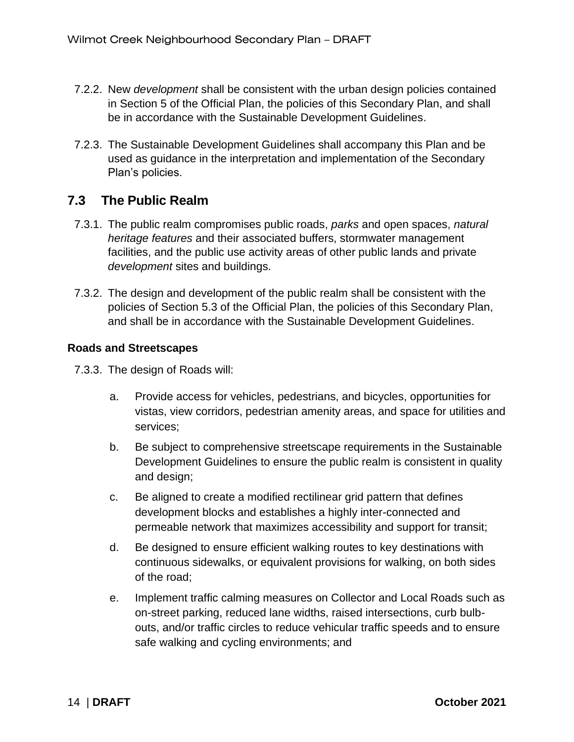- 7.2.2. New *development* shall be consistent with the urban design policies contained in Section 5 of the Official Plan, the policies of this Secondary Plan, and shall be in accordance with the Sustainable Development Guidelines.
- 7.2.3. The Sustainable Development Guidelines shall accompany this Plan and be used as guidance in the interpretation and implementation of the Secondary Plan's policies.

### <span id="page-17-0"></span>**7.3 The Public Realm**

- 7.3.1. The public realm compromises public roads, *parks* and open spaces, *natural heritage features* and their associated buffers, stormwater management facilities, and the public use activity areas of other public lands and private *development* sites and buildings.
- 7.3.2. The design and development of the public realm shall be consistent with the policies of Section 5.3 of the Official Plan, the policies of this Secondary Plan, and shall be in accordance with the Sustainable Development Guidelines.

#### **Roads and Streetscapes**

7.3.3. The design of Roads will:

- a. Provide access for vehicles, pedestrians, and bicycles, opportunities for vistas, view corridors, pedestrian amenity areas, and space for utilities and services;
- b. Be subject to comprehensive streetscape requirements in the Sustainable Development Guidelines to ensure the public realm is consistent in quality and design;
- c. Be aligned to create a modified rectilinear grid pattern that defines development blocks and establishes a highly inter-connected and permeable network that maximizes accessibility and support for transit;
- d. Be designed to ensure efficient walking routes to key destinations with continuous sidewalks, or equivalent provisions for walking, on both sides of the road;
- e. Implement traffic calming measures on Collector and Local Roads such as on-street parking, reduced lane widths, raised intersections, curb bulbouts, and/or traffic circles to reduce vehicular traffic speeds and to ensure safe walking and cycling environments; and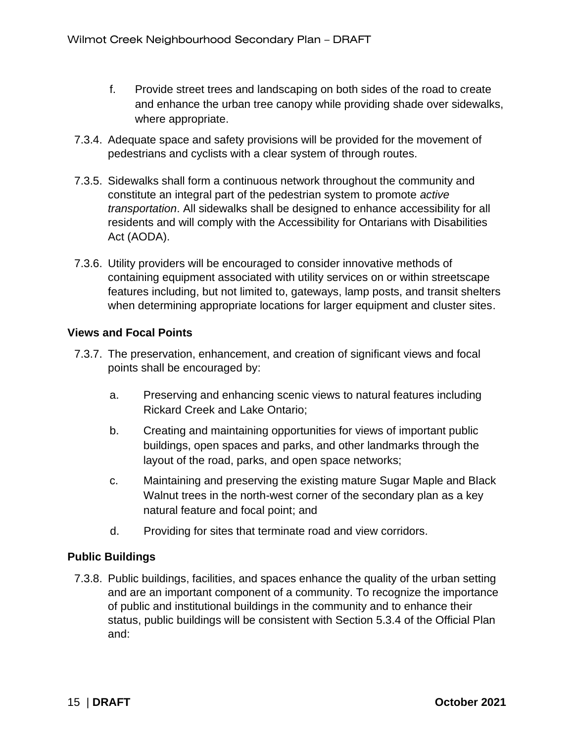- f. Provide street trees and landscaping on both sides of the road to create and enhance the urban tree canopy while providing shade over sidewalks, where appropriate.
- 7.3.4. Adequate space and safety provisions will be provided for the movement of pedestrians and cyclists with a clear system of through routes.
- 7.3.5. Sidewalks shall form a continuous network throughout the community and constitute an integral part of the pedestrian system to promote *active transportation*. All sidewalks shall be designed to enhance accessibility for all residents and will comply with the Accessibility for Ontarians with Disabilities Act (AODA).
- 7.3.6. Utility providers will be encouraged to consider innovative methods of containing equipment associated with utility services on or within streetscape features including, but not limited to, gateways, lamp posts, and transit shelters when determining appropriate locations for larger equipment and cluster sites.

### **Views and Focal Points**

- 7.3.7. The preservation, enhancement, and creation of significant views and focal points shall be encouraged by:
	- a. Preserving and enhancing scenic views to natural features including Rickard Creek and Lake Ontario;
	- b. Creating and maintaining opportunities for views of important public buildings, open spaces and parks, and other landmarks through the layout of the road, parks, and open space networks;
	- c. Maintaining and preserving the existing mature Sugar Maple and Black Walnut trees in the north-west corner of the secondary plan as a key natural feature and focal point; and
	- d. Providing for sites that terminate road and view corridors.

### **Public Buildings**

7.3.8. Public buildings, facilities, and spaces enhance the quality of the urban setting and are an important component of a community. To recognize the importance of public and institutional buildings in the community and to enhance their status, public buildings will be consistent with Section 5.3.4 of the Official Plan and: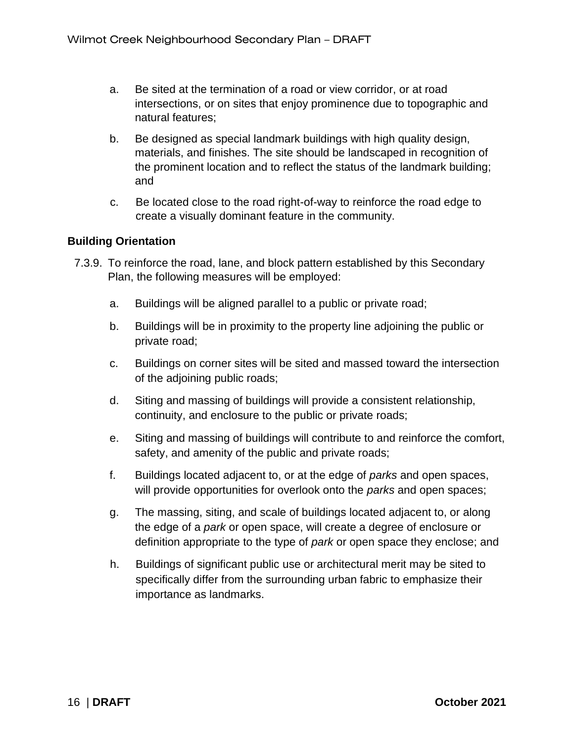- a. Be sited at the termination of a road or view corridor, or at road intersections, or on sites that enjoy prominence due to topographic and natural features;
- b. Be designed as special landmark buildings with high quality design, materials, and finishes. The site should be landscaped in recognition of the prominent location and to reflect the status of the landmark building; and
- c. Be located close to the road right-of-way to reinforce the road edge to create a visually dominant feature in the community.

#### **Building Orientation**

- 7.3.9. To reinforce the road, lane, and block pattern established by this Secondary Plan, the following measures will be employed:
	- a. Buildings will be aligned parallel to a public or private road;
	- b. Buildings will be in proximity to the property line adjoining the public or private road;
	- c. Buildings on corner sites will be sited and massed toward the intersection of the adjoining public roads;
	- d. Siting and massing of buildings will provide a consistent relationship, continuity, and enclosure to the public or private roads;
	- e. Siting and massing of buildings will contribute to and reinforce the comfort, safety, and amenity of the public and private roads;
	- f. Buildings located adjacent to, or at the edge of *parks* and open spaces, will provide opportunities for overlook onto the *parks* and open spaces;
	- g. The massing, siting, and scale of buildings located adjacent to, or along the edge of a *park* or open space, will create a degree of enclosure or definition appropriate to the type of *park* or open space they enclose; and
	- h. Buildings of significant public use or architectural merit may be sited to specifically differ from the surrounding urban fabric to emphasize their importance as landmarks.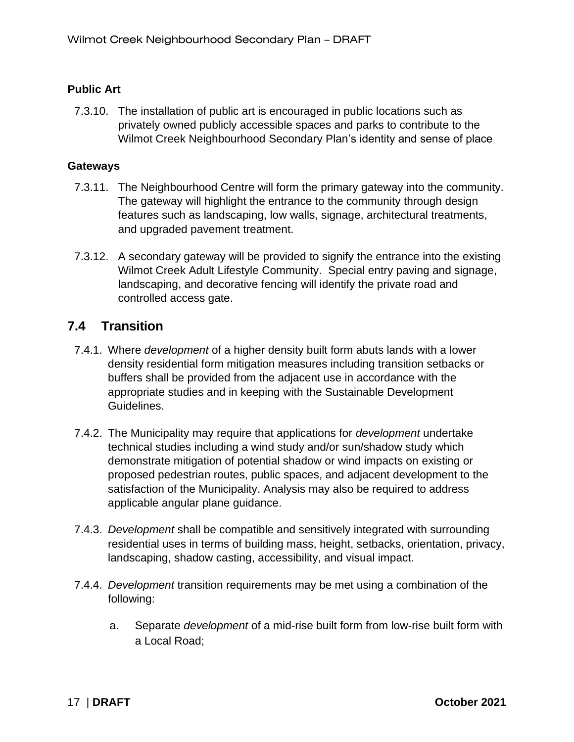### **Public Art**

7.3.10. The installation of public art is encouraged in public locations such as privately owned publicly accessible spaces and parks to contribute to the Wilmot Creek Neighbourhood Secondary Plan's identity and sense of place

#### **Gateways**

- 7.3.11. The Neighbourhood Centre will form the primary gateway into the community. The gateway will highlight the entrance to the community through design features such as landscaping, low walls, signage, architectural treatments, and upgraded pavement treatment.
- 7.3.12. A secondary gateway will be provided to signify the entrance into the existing Wilmot Creek Adult Lifestyle Community. Special entry paving and signage, landscaping, and decorative fencing will identify the private road and controlled access gate.

### <span id="page-20-0"></span>**7.4 Transition**

- 7.4.1. Where *development* of a higher density built form abuts lands with a lower density residential form mitigation measures including transition setbacks or buffers shall be provided from the adjacent use in accordance with the appropriate studies and in keeping with the Sustainable Development Guidelines.
- 7.4.2. The Municipality may require that applications for *development* undertake technical studies including a wind study and/or sun/shadow study which demonstrate mitigation of potential shadow or wind impacts on existing or proposed pedestrian routes, public spaces, and adjacent development to the satisfaction of the Municipality. Analysis may also be required to address applicable angular plane guidance.
- 7.4.3. *Development* shall be compatible and sensitively integrated with surrounding residential uses in terms of building mass, height, setbacks, orientation, privacy, landscaping, shadow casting, accessibility, and visual impact.
- 7.4.4. *Development* transition requirements may be met using a combination of the following:
	- a. Separate *development* of a mid-rise built form from low-rise built form with a Local Road;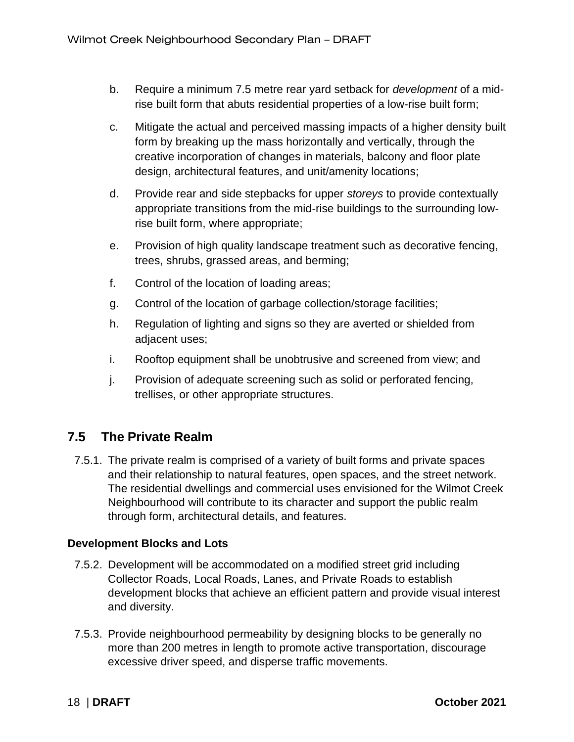- b. Require a minimum 7.5 metre rear yard setback for *development* of a midrise built form that abuts residential properties of a low-rise built form;
- c. Mitigate the actual and perceived massing impacts of a higher density built form by breaking up the mass horizontally and vertically, through the creative incorporation of changes in materials, balcony and floor plate design, architectural features, and unit/amenity locations;
- d. Provide rear and side stepbacks for upper *storeys* to provide contextually appropriate transitions from the mid-rise buildings to the surrounding lowrise built form, where appropriate;
- e. Provision of high quality landscape treatment such as decorative fencing, trees, shrubs, grassed areas, and berming;
- f. Control of the location of loading areas;
- g. Control of the location of garbage collection/storage facilities;
- h. Regulation of lighting and signs so they are averted or shielded from adjacent uses;
- i. Rooftop equipment shall be unobtrusive and screened from view; and
- j. Provision of adequate screening such as solid or perforated fencing, trellises, or other appropriate structures.

### <span id="page-21-0"></span>**7.5 The Private Realm**

7.5.1. The private realm is comprised of a variety of built forms and private spaces and their relationship to natural features, open spaces, and the street network. The residential dwellings and commercial uses envisioned for the Wilmot Creek Neighbourhood will contribute to its character and support the public realm through form, architectural details, and features.

### **Development Blocks and Lots**

- 7.5.2. Development will be accommodated on a modified street grid including Collector Roads, Local Roads, Lanes, and Private Roads to establish development blocks that achieve an efficient pattern and provide visual interest and diversity.
- 7.5.3. Provide neighbourhood permeability by designing blocks to be generally no more than 200 metres in length to promote active transportation, discourage excessive driver speed, and disperse traffic movements.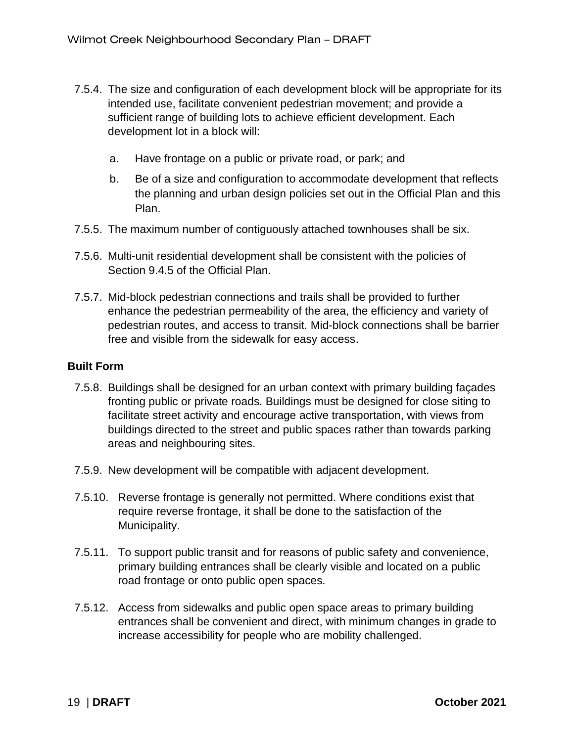- 7.5.4. The size and configuration of each development block will be appropriate for its intended use, facilitate convenient pedestrian movement; and provide a sufficient range of building lots to achieve efficient development. Each development lot in a block will:
	- a. Have frontage on a public or private road, or park; and
	- b. Be of a size and configuration to accommodate development that reflects the planning and urban design policies set out in the Official Plan and this Plan.
- 7.5.5. The maximum number of contiguously attached townhouses shall be six.
- 7.5.6. Multi-unit residential development shall be consistent with the policies of Section 9.4.5 of the Official Plan.
- 7.5.7. Mid-block pedestrian connections and trails shall be provided to further enhance the pedestrian permeability of the area, the efficiency and variety of pedestrian routes, and access to transit. Mid-block connections shall be barrier free and visible from the sidewalk for easy access.

#### **Built Form**

- 7.5.8. Buildings shall be designed for an urban context with primary building façades fronting public or private roads. Buildings must be designed for close siting to facilitate street activity and encourage active transportation, with views from buildings directed to the street and public spaces rather than towards parking areas and neighbouring sites.
- 7.5.9. New development will be compatible with adjacent development.
- 7.5.10. Reverse frontage is generally not permitted. Where conditions exist that require reverse frontage, it shall be done to the satisfaction of the Municipality.
- 7.5.11. To support public transit and for reasons of public safety and convenience, primary building entrances shall be clearly visible and located on a public road frontage or onto public open spaces.
- 7.5.12. Access from sidewalks and public open space areas to primary building entrances shall be convenient and direct, with minimum changes in grade to increase accessibility for people who are mobility challenged.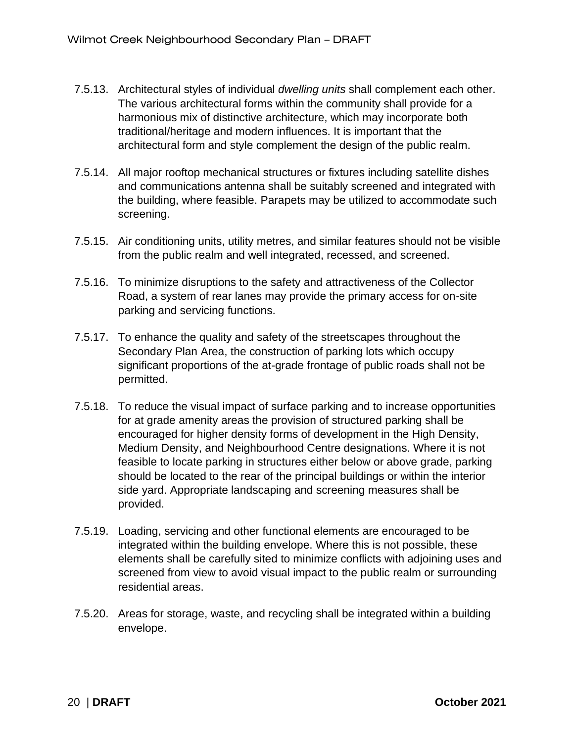- 7.5.13. Architectural styles of individual *dwelling units* shall complement each other. The various architectural forms within the community shall provide for a harmonious mix of distinctive architecture, which may incorporate both traditional/heritage and modern influences. It is important that the architectural form and style complement the design of the public realm.
- 7.5.14. All major rooftop mechanical structures or fixtures including satellite dishes and communications antenna shall be suitably screened and integrated with the building, where feasible. Parapets may be utilized to accommodate such screening.
- 7.5.15. Air conditioning units, utility metres, and similar features should not be visible from the public realm and well integrated, recessed, and screened.
- 7.5.16. To minimize disruptions to the safety and attractiveness of the Collector Road, a system of rear lanes may provide the primary access for on-site parking and servicing functions.
- 7.5.17. To enhance the quality and safety of the streetscapes throughout the Secondary Plan Area, the construction of parking lots which occupy significant proportions of the at-grade frontage of public roads shall not be permitted.
- 7.5.18. To reduce the visual impact of surface parking and to increase opportunities for at grade amenity areas the provision of structured parking shall be encouraged for higher density forms of development in the High Density, Medium Density, and Neighbourhood Centre designations. Where it is not feasible to locate parking in structures either below or above grade, parking should be located to the rear of the principal buildings or within the interior side yard. Appropriate landscaping and screening measures shall be provided.
- 7.5.19. Loading, servicing and other functional elements are encouraged to be integrated within the building envelope. Where this is not possible, these elements shall be carefully sited to minimize conflicts with adjoining uses and screened from view to avoid visual impact to the public realm or surrounding residential areas.
- 7.5.20. Areas for storage, waste, and recycling shall be integrated within a building envelope.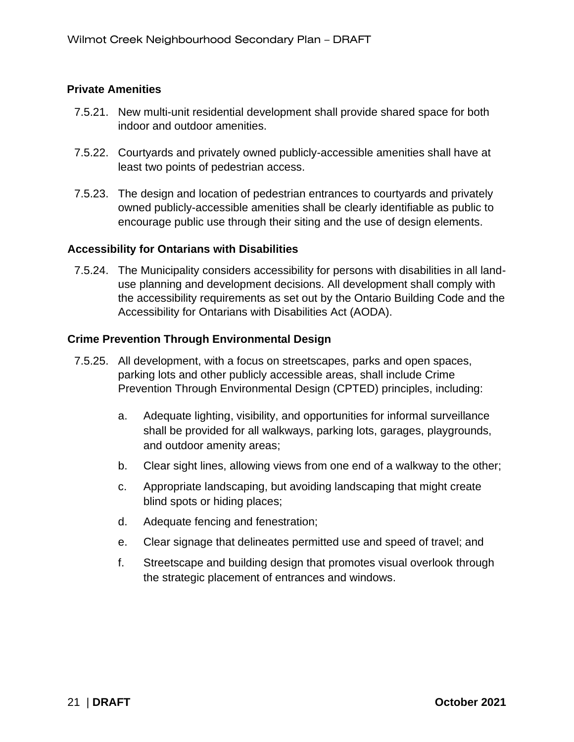#### **Private Amenities**

- 7.5.21. New multi-unit residential development shall provide shared space for both indoor and outdoor amenities.
- 7.5.22. Courtyards and privately owned publicly-accessible amenities shall have at least two points of pedestrian access.
- 7.5.23. The design and location of pedestrian entrances to courtyards and privately owned publicly-accessible amenities shall be clearly identifiable as public to encourage public use through their siting and the use of design elements.

#### **Accessibility for Ontarians with Disabilities**

7.5.24. The Municipality considers accessibility for persons with disabilities in all landuse planning and development decisions. All development shall comply with the accessibility requirements as set out by the Ontario Building Code and the Accessibility for Ontarians with Disabilities Act (AODA).

#### **Crime Prevention Through Environmental Design**

- 7.5.25. All development, with a focus on streetscapes, parks and open spaces, parking lots and other publicly accessible areas, shall include Crime Prevention Through Environmental Design (CPTED) principles, including:
	- a. Adequate lighting, visibility, and opportunities for informal surveillance shall be provided for all walkways, parking lots, garages, playgrounds, and outdoor amenity areas;
	- b. Clear sight lines, allowing views from one end of a walkway to the other;
	- c. Appropriate landscaping, but avoiding landscaping that might create blind spots or hiding places;
	- d. Adequate fencing and fenestration;
	- e. Clear signage that delineates permitted use and speed of travel; and
	- f. Streetscape and building design that promotes visual overlook through the strategic placement of entrances and windows.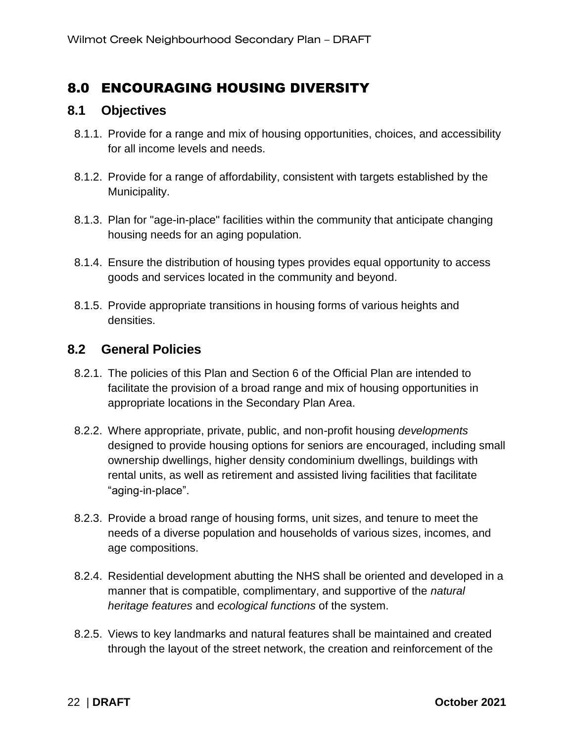### <span id="page-25-0"></span>8.0 ENCOURAGING HOUSING DIVERSITY

### <span id="page-25-1"></span>**8.1 Objectives**

- 8.1.1. Provide for a range and mix of housing opportunities, choices, and accessibility for all income levels and needs.
- 8.1.2. Provide for a range of affordability, consistent with targets established by the Municipality.
- 8.1.3. Plan for "age-in-place" facilities within the community that anticipate changing housing needs for an aging population.
- 8.1.4. Ensure the distribution of housing types provides equal opportunity to access goods and services located in the community and beyond.
- 8.1.5. Provide appropriate transitions in housing forms of various heights and densities.

### <span id="page-25-2"></span>**8.2 General Policies**

- 8.2.1. The policies of this Plan and Section 6 of the Official Plan are intended to facilitate the provision of a broad range and mix of housing opportunities in appropriate locations in the Secondary Plan Area.
- 8.2.2. Where appropriate, private, public, and non-profit housing *developments* designed to provide housing options for seniors are encouraged, including small ownership dwellings, higher density condominium dwellings, buildings with rental units, as well as retirement and assisted living facilities that facilitate "aging-in-place".
- 8.2.3. Provide a broad range of housing forms, unit sizes, and tenure to meet the needs of a diverse population and households of various sizes, incomes, and age compositions.
- 8.2.4. Residential development abutting the NHS shall be oriented and developed in a manner that is compatible, complimentary, and supportive of the *natural heritage features* and *ecological functions* of the system.
- 8.2.5. Views to key landmarks and natural features shall be maintained and created through the layout of the street network, the creation and reinforcement of the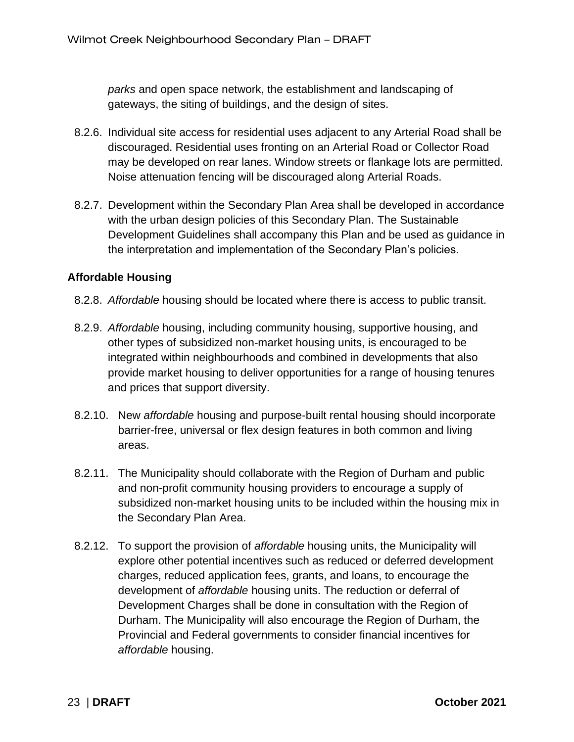*parks* and open space network, the establishment and landscaping of gateways, the siting of buildings, and the design of sites.

- 8.2.6. Individual site access for residential uses adjacent to any Arterial Road shall be discouraged. Residential uses fronting on an Arterial Road or Collector Road may be developed on rear lanes. Window streets or flankage lots are permitted. Noise attenuation fencing will be discouraged along Arterial Roads.
- 8.2.7. Development within the Secondary Plan Area shall be developed in accordance with the urban design policies of this Secondary Plan. The Sustainable Development Guidelines shall accompany this Plan and be used as guidance in the interpretation and implementation of the Secondary Plan's policies.

### **Affordable Housing**

- 8.2.8. *Affordable* housing should be located where there is access to public transit.
- 8.2.9. *Affordable* housing, including community housing, supportive housing, and other types of subsidized non-market housing units, is encouraged to be integrated within neighbourhoods and combined in developments that also provide market housing to deliver opportunities for a range of housing tenures and prices that support diversity.
- 8.2.10. New *affordable* housing and purpose-built rental housing should incorporate barrier-free, universal or flex design features in both common and living areas.
- 8.2.11. The Municipality should collaborate with the Region of Durham and public and non-profit community housing providers to encourage a supply of subsidized non-market housing units to be included within the housing mix in the Secondary Plan Area.
- 8.2.12. To support the provision of *affordable* housing units, the Municipality will explore other potential incentives such as reduced or deferred development charges, reduced application fees, grants, and loans, to encourage the development of *affordable* housing units. The reduction or deferral of Development Charges shall be done in consultation with the Region of Durham. The Municipality will also encourage the Region of Durham, the Provincial and Federal governments to consider financial incentives for *affordable* housing.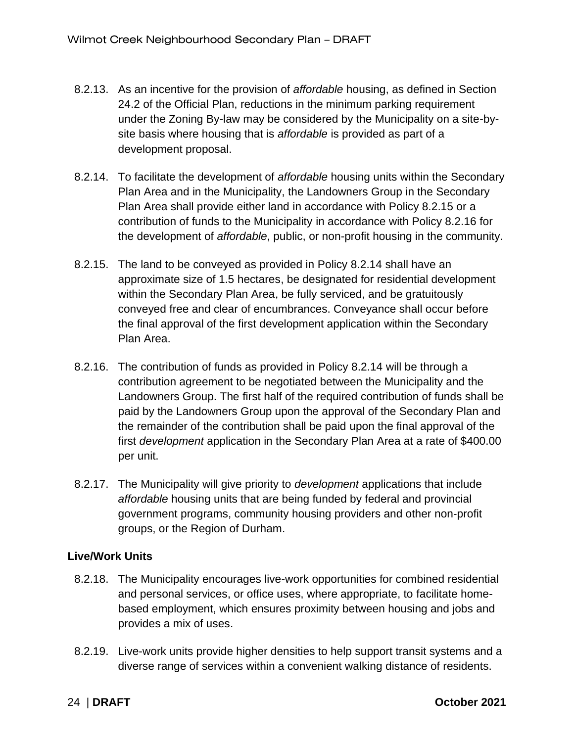- 8.2.13. As an incentive for the provision of *affordable* housing, as defined in Section 24.2 of the Official Plan, reductions in the minimum parking requirement under the Zoning By-law may be considered by the Municipality on a site-bysite basis where housing that is *affordable* is provided as part of a development proposal.
- 8.2.14. To facilitate the development of *affordable* housing units within the Secondary Plan Area and in the Municipality, the Landowners Group in the Secondary Plan Area shall provide either land in accordance with Policy 8.2.15 or a contribution of funds to the Municipality in accordance with Policy 8.2.16 for the development of *affordable*, public, or non-profit housing in the community.
- 8.2.15. The land to be conveyed as provided in Policy 8.2.14 shall have an approximate size of 1.5 hectares, be designated for residential development within the Secondary Plan Area, be fully serviced, and be gratuitously conveyed free and clear of encumbrances. Conveyance shall occur before the final approval of the first development application within the Secondary Plan Area.
- 8.2.16. The contribution of funds as provided in Policy 8.2.14 will be through a contribution agreement to be negotiated between the Municipality and the Landowners Group. The first half of the required contribution of funds shall be paid by the Landowners Group upon the approval of the Secondary Plan and the remainder of the contribution shall be paid upon the final approval of the first *development* application in the Secondary Plan Area at a rate of \$400.00 per unit.
- 8.2.17. The Municipality will give priority to *development* applications that include *affordable* housing units that are being funded by federal and provincial government programs, community housing providers and other non-profit groups, or the Region of Durham.

### **Live/Work Units**

- 8.2.18. The Municipality encourages live-work opportunities for combined residential and personal services, or office uses, where appropriate, to facilitate homebased employment, which ensures proximity between housing and jobs and provides a mix of uses.
- 8.2.19. Live-work units provide higher densities to help support transit systems and a diverse range of services within a convenient walking distance of residents.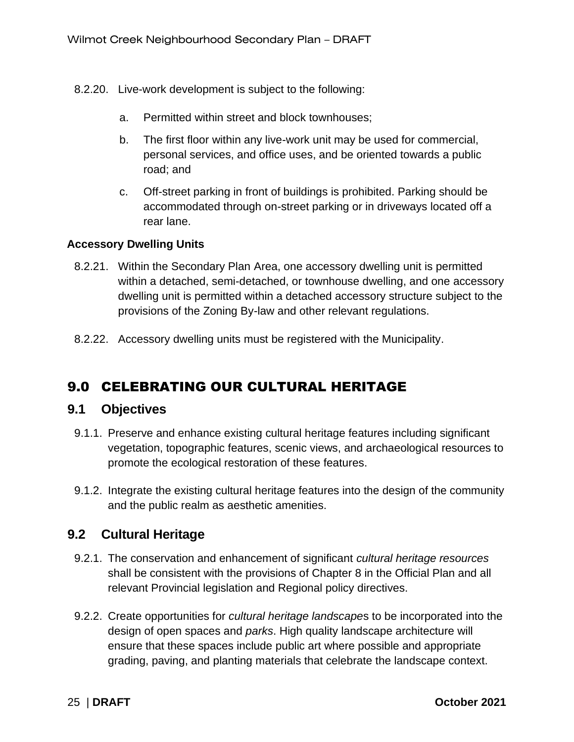- 8.2.20. Live-work development is subject to the following:
	- a. Permitted within street and block townhouses;
	- b. The first floor within any live-work unit may be used for commercial, personal services, and office uses, and be oriented towards a public road; and
	- c. Off-street parking in front of buildings is prohibited. Parking should be accommodated through on-street parking or in driveways located off a rear lane.

#### **Accessory Dwelling Units**

- 8.2.21. Within the Secondary Plan Area, one accessory dwelling unit is permitted within a detached, semi-detached, or townhouse dwelling, and one accessory dwelling unit is permitted within a detached accessory structure subject to the provisions of the Zoning By-law and other relevant regulations.
- 8.2.22. Accessory dwelling units must be registered with the Municipality.

### <span id="page-28-0"></span>9.0 CELEBRATING OUR CULTURAL HERITAGE

### <span id="page-28-1"></span>**9.1 Objectives**

- 9.1.1. Preserve and enhance existing cultural heritage features including significant vegetation, topographic features, scenic views, and archaeological resources to promote the ecological restoration of these features.
- 9.1.2. Integrate the existing cultural heritage features into the design of the community and the public realm as aesthetic amenities.

### <span id="page-28-2"></span>**9.2 Cultural Heritage**

- 9.2.1. The conservation and enhancement of significant *cultural heritage resources* shall be consistent with the provisions of Chapter 8 in the Official Plan and all relevant Provincial legislation and Regional policy directives.
- 9.2.2. Create opportunities for *cultural heritage landscape*s to be incorporated into the design of open spaces and *parks*. High quality landscape architecture will ensure that these spaces include public art where possible and appropriate grading, paving, and planting materials that celebrate the landscape context.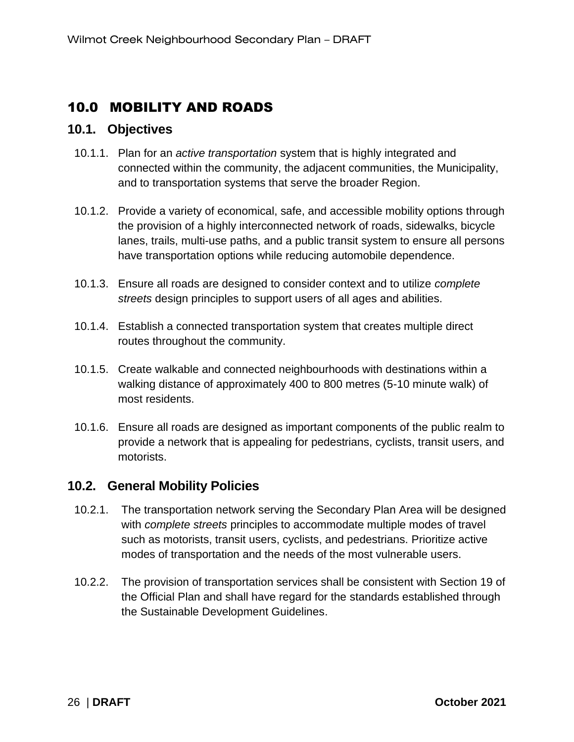### <span id="page-29-0"></span>10.0 MOBILITY AND ROADS

### <span id="page-29-1"></span>**10.1. Objectives**

- 10.1.1. Plan for an *active transportation* system that is highly integrated and connected within the community, the adjacent communities, the Municipality, and to transportation systems that serve the broader Region.
- 10.1.2. Provide a variety of economical, safe, and accessible mobility options through the provision of a highly interconnected network of roads, sidewalks, bicycle lanes, trails, multi-use paths, and a public transit system to ensure all persons have transportation options while reducing automobile dependence.
- 10.1.3. Ensure all roads are designed to consider context and to utilize *complete streets* design principles to support users of all ages and abilities.
- 10.1.4. Establish a connected transportation system that creates multiple direct routes throughout the community.
- 10.1.5. Create walkable and connected neighbourhoods with destinations within a walking distance of approximately 400 to 800 metres (5-10 minute walk) of most residents.
- 10.1.6. Ensure all roads are designed as important components of the public realm to provide a network that is appealing for pedestrians, cyclists, transit users, and motorists.

### <span id="page-29-2"></span>**10.2. General Mobility Policies**

- 10.2.1. The transportation network serving the Secondary Plan Area will be designed with *complete streets* principles to accommodate multiple modes of travel such as motorists, transit users, cyclists, and pedestrians. Prioritize active modes of transportation and the needs of the most vulnerable users.
- 10.2.2. The provision of transportation services shall be consistent with Section 19 of the Official Plan and shall have regard for the standards established through the Sustainable Development Guidelines.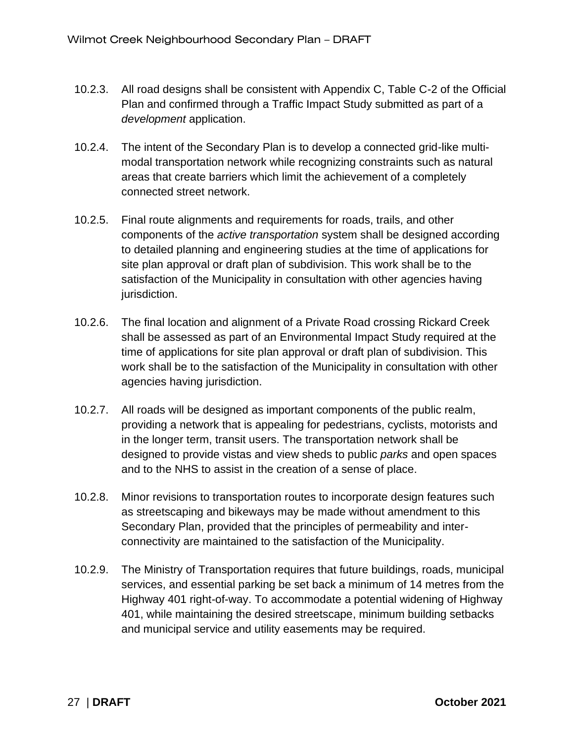- 10.2.3. All road designs shall be consistent with Appendix C, Table C-2 of the Official Plan and confirmed through a Traffic Impact Study submitted as part of a *development* application.
- 10.2.4. The intent of the Secondary Plan is to develop a connected grid-like multimodal transportation network while recognizing constraints such as natural areas that create barriers which limit the achievement of a completely connected street network.
- 10.2.5. Final route alignments and requirements for roads, trails, and other components of the *active transportation* system shall be designed according to detailed planning and engineering studies at the time of applications for site plan approval or draft plan of subdivision. This work shall be to the satisfaction of the Municipality in consultation with other agencies having jurisdiction.
- 10.2.6. The final location and alignment of a Private Road crossing Rickard Creek shall be assessed as part of an Environmental Impact Study required at the time of applications for site plan approval or draft plan of subdivision. This work shall be to the satisfaction of the Municipality in consultation with other agencies having jurisdiction.
- 10.2.7. All roads will be designed as important components of the public realm, providing a network that is appealing for pedestrians, cyclists, motorists and in the longer term, transit users. The transportation network shall be designed to provide vistas and view sheds to public *parks* and open spaces and to the NHS to assist in the creation of a sense of place.
- 10.2.8. Minor revisions to transportation routes to incorporate design features such as streetscaping and bikeways may be made without amendment to this Secondary Plan, provided that the principles of permeability and interconnectivity are maintained to the satisfaction of the Municipality.
- 10.2.9. The Ministry of Transportation requires that future buildings, roads, municipal services, and essential parking be set back a minimum of 14 metres from the Highway 401 right-of-way. To accommodate a potential widening of Highway 401, while maintaining the desired streetscape, minimum building setbacks and municipal service and utility easements may be required.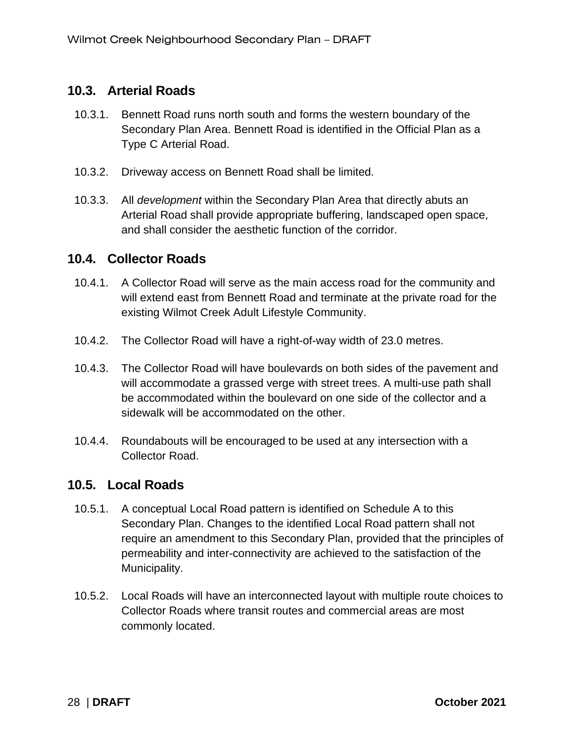### <span id="page-31-0"></span>**10.3. Arterial Roads**

- 10.3.1. Bennett Road runs north south and forms the western boundary of the Secondary Plan Area. Bennett Road is identified in the Official Plan as a Type C Arterial Road.
- 10.3.2. Driveway access on Bennett Road shall be limited.
- 10.3.3. All *development* within the Secondary Plan Area that directly abuts an Arterial Road shall provide appropriate buffering, landscaped open space, and shall consider the aesthetic function of the corridor.

### <span id="page-31-1"></span>**10.4. Collector Roads**

- 10.4.1. A Collector Road will serve as the main access road for the community and will extend east from Bennett Road and terminate at the private road for the existing Wilmot Creek Adult Lifestyle Community.
- 10.4.2. The Collector Road will have a right-of-way width of 23.0 metres.
- 10.4.3. The Collector Road will have boulevards on both sides of the pavement and will accommodate a grassed verge with street trees. A multi-use path shall be accommodated within the boulevard on one side of the collector and a sidewalk will be accommodated on the other.
- 10.4.4. Roundabouts will be encouraged to be used at any intersection with a Collector Road.

### <span id="page-31-2"></span>**10.5. Local Roads**

- 10.5.1. A conceptual Local Road pattern is identified on Schedule A to this Secondary Plan. Changes to the identified Local Road pattern shall not require an amendment to this Secondary Plan, provided that the principles of permeability and inter-connectivity are achieved to the satisfaction of the Municipality.
- 10.5.2. Local Roads will have an interconnected layout with multiple route choices to Collector Roads where transit routes and commercial areas are most commonly located.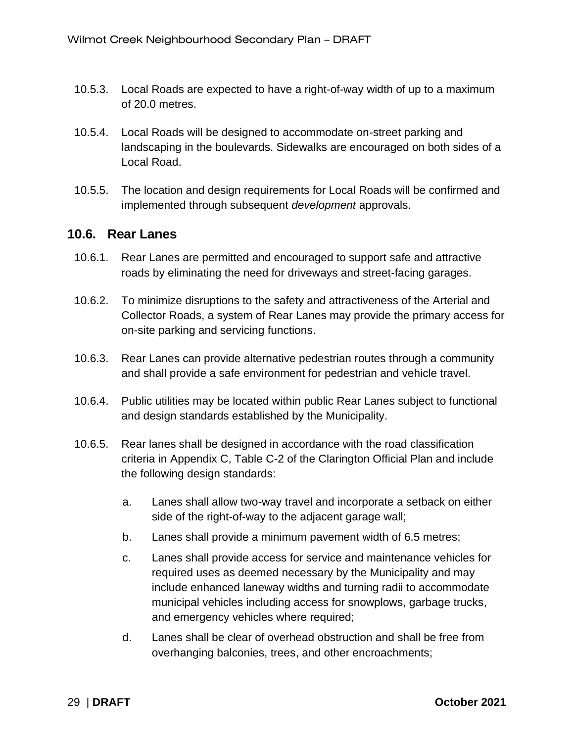- 10.5.3. Local Roads are expected to have a right-of-way width of up to a maximum of 20.0 metres.
- 10.5.4. Local Roads will be designed to accommodate on-street parking and landscaping in the boulevards. Sidewalks are encouraged on both sides of a Local Road.
- 10.5.5. The location and design requirements for Local Roads will be confirmed and implemented through subsequent *development* approvals.

### <span id="page-32-0"></span>**10.6. Rear Lanes**

- 10.6.1. Rear Lanes are permitted and encouraged to support safe and attractive roads by eliminating the need for driveways and street-facing garages.
- 10.6.2. To minimize disruptions to the safety and attractiveness of the Arterial and Collector Roads, a system of Rear Lanes may provide the primary access for on-site parking and servicing functions.
- 10.6.3. Rear Lanes can provide alternative pedestrian routes through a community and shall provide a safe environment for pedestrian and vehicle travel.
- 10.6.4. Public utilities may be located within public Rear Lanes subject to functional and design standards established by the Municipality.
- 10.6.5. Rear lanes shall be designed in accordance with the road classification criteria in Appendix C, Table C-2 of the Clarington Official Plan and include the following design standards:
	- a. Lanes shall allow two-way travel and incorporate a setback on either side of the right-of-way to the adjacent garage wall;
	- b. Lanes shall provide a minimum pavement width of 6.5 metres;
	- c. Lanes shall provide access for service and maintenance vehicles for required uses as deemed necessary by the Municipality and may include enhanced laneway widths and turning radii to accommodate municipal vehicles including access for snowplows, garbage trucks, and emergency vehicles where required;
	- d. Lanes shall be clear of overhead obstruction and shall be free from overhanging balconies, trees, and other encroachments;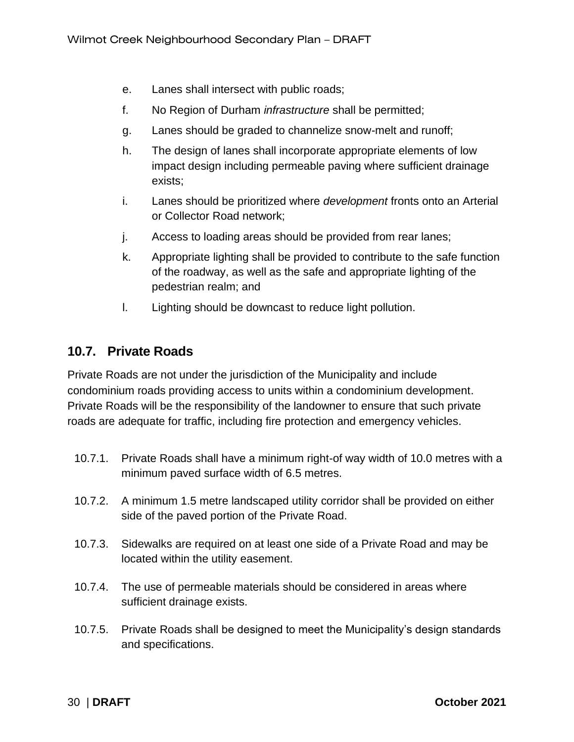- e. Lanes shall intersect with public roads;
- f. No Region of Durham *infrastructure* shall be permitted;
- g. Lanes should be graded to channelize snow-melt and runoff;
- h. The design of lanes shall incorporate appropriate elements of low impact design including permeable paving where sufficient drainage exists;
- i. Lanes should be prioritized where *development* fronts onto an Arterial or Collector Road network;
- j. Access to loading areas should be provided from rear lanes;
- k. Appropriate lighting shall be provided to contribute to the safe function of the roadway, as well as the safe and appropriate lighting of the pedestrian realm; and
- l. Lighting should be downcast to reduce light pollution.

### <span id="page-33-0"></span>**10.7. Private Roads**

Private Roads are not under the jurisdiction of the Municipality and include condominium roads providing access to units within a condominium development. Private Roads will be the responsibility of the landowner to ensure that such private roads are adequate for traffic, including fire protection and emergency vehicles.

- 10.7.1. Private Roads shall have a minimum right-of way width of 10.0 metres with a minimum paved surface width of 6.5 metres.
- 10.7.2. A minimum 1.5 metre landscaped utility corridor shall be provided on either side of the paved portion of the Private Road.
- 10.7.3. Sidewalks are required on at least one side of a Private Road and may be located within the utility easement.
- 10.7.4. The use of permeable materials should be considered in areas where sufficient drainage exists.
- 10.7.5. Private Roads shall be designed to meet the Municipality's design standards and specifications.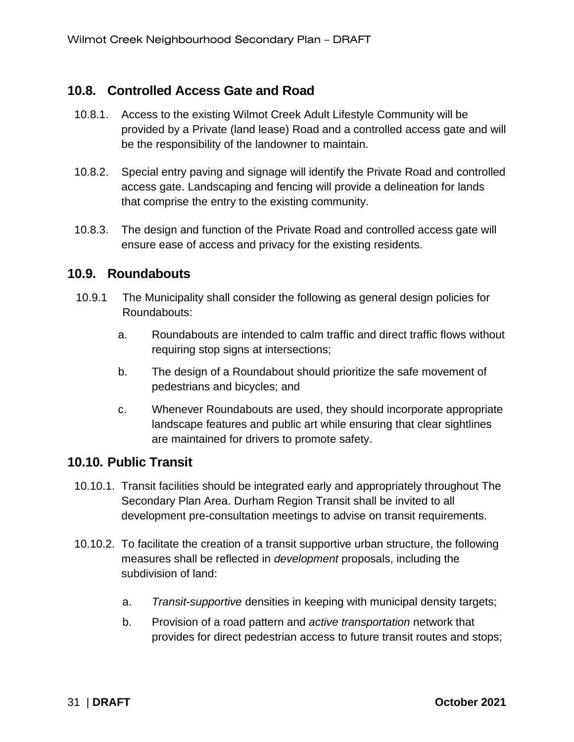### <span id="page-34-0"></span>**10.8. Controlled Access Gate and Road**

- 10.8.1. Access to the existing Wilmot Creek Adult Lifestyle Community will be provided by a Private (land lease) Road and a controlled access gate and will be the responsibility of the landowner to maintain.
- 10.8.2. Special entry paving and signage will identify the Private Road and controlled access gate. Landscaping and fencing will provide a delineation for lands that comprise the entry to the existing community.
- 10.8.3. The design and function of the Private Road and controlled access gate will ensure ease of access and privacy for the existing residents.

### <span id="page-34-1"></span>**10.9. Roundabouts**

- 10.9.1 The Municipality shall consider the following as general design policies for Roundabouts:
	- a. Roundabouts are intended to calm traffic and direct traffic flows without requiring stop signs at intersections;
	- b. The design of a Roundabout should prioritize the safe movement of pedestrians and bicycles; and
	- c. Whenever Roundabouts are used, they should incorporate appropriate landscape features and public art while ensuring that clear sightlines are maintained for drivers to promote safety.

### <span id="page-34-2"></span>**10.10. Public Transit**

- 10.10.1. Transit facilities should be integrated early and appropriately throughout The Secondary Plan Area. Durham Region Transit shall be invited to all development pre-consultation meetings to advise on transit requirements.
- 10.10.2. To facilitate the creation of a transit supportive urban structure, the following measures shall be reflected in *development* proposals, including the subdivision of land:
	- a. *Transit-supportive* densities in keeping with municipal density targets;
	- b. Provision of a road pattern and *active transportation* network that provides for direct pedestrian access to future transit routes and stops;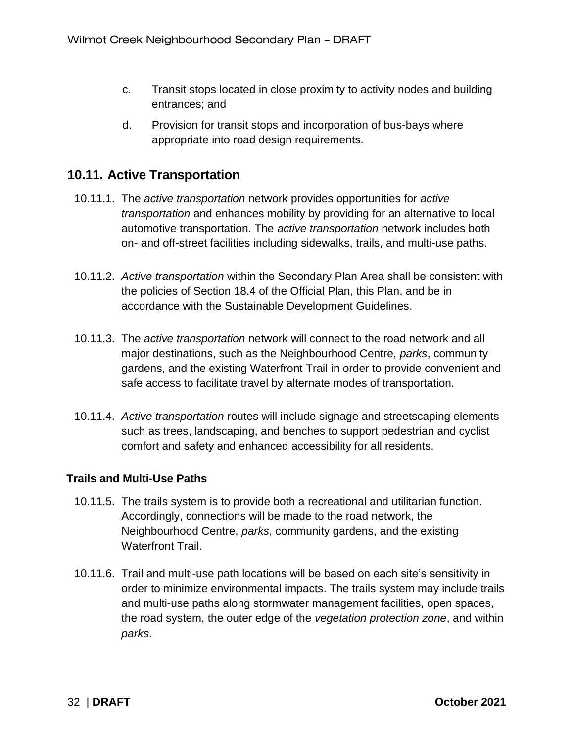- c. Transit stops located in close proximity to activity nodes and building entrances; and
- d. Provision for transit stops and incorporation of bus-bays where appropriate into road design requirements.

### <span id="page-35-0"></span>**10.11. Active Transportation**

- 10.11.1. The *active transportation* network provides opportunities for *active transportation* and enhances mobility by providing for an alternative to local automotive transportation. The *active transportation* network includes both on- and off-street facilities including sidewalks, trails, and multi-use paths.
- 10.11.2. *Active transportation* within the Secondary Plan Area shall be consistent with the policies of Section 18.4 of the Official Plan, this Plan, and be in accordance with the Sustainable Development Guidelines.
- 10.11.3. The *active transportation* network will connect to the road network and all major destinations, such as the Neighbourhood Centre, *parks*, community gardens, and the existing Waterfront Trail in order to provide convenient and safe access to facilitate travel by alternate modes of transportation.
- 10.11.4. *Active transportation* routes will include signage and streetscaping elements such as trees, landscaping, and benches to support pedestrian and cyclist comfort and safety and enhanced accessibility for all residents.

#### **Trails and Multi-Use Paths**

- 10.11.5. The trails system is to provide both a recreational and utilitarian function. Accordingly, connections will be made to the road network, the Neighbourhood Centre, *parks*, community gardens, and the existing Waterfront Trail.
- 10.11.6. Trail and multi-use path locations will be based on each site's sensitivity in order to minimize environmental impacts. The trails system may include trails and multi-use paths along stormwater management facilities, open spaces, the road system, the outer edge of the *vegetation protection zone*, and within *parks*.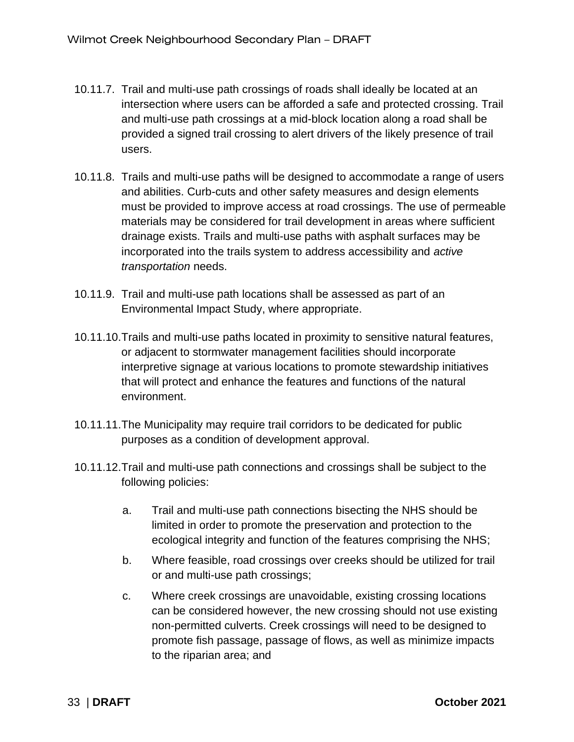- 10.11.7. Trail and multi-use path crossings of roads shall ideally be located at an intersection where users can be afforded a safe and protected crossing. Trail and multi-use path crossings at a mid-block location along a road shall be provided a signed trail crossing to alert drivers of the likely presence of trail users.
- 10.11.8. Trails and multi-use paths will be designed to accommodate a range of users and abilities. Curb-cuts and other safety measures and design elements must be provided to improve access at road crossings. The use of permeable materials may be considered for trail development in areas where sufficient drainage exists. Trails and multi-use paths with asphalt surfaces may be incorporated into the trails system to address accessibility and *active transportation* needs.
- 10.11.9. Trail and multi-use path locations shall be assessed as part of an Environmental Impact Study, where appropriate.
- 10.11.10.Trails and multi-use paths located in proximity to sensitive natural features, or adjacent to stormwater management facilities should incorporate interpretive signage at various locations to promote stewardship initiatives that will protect and enhance the features and functions of the natural environment.
- 10.11.11.The Municipality may require trail corridors to be dedicated for public purposes as a condition of development approval.
- 10.11.12.Trail and multi-use path connections and crossings shall be subject to the following policies:
	- a. Trail and multi-use path connections bisecting the NHS should be limited in order to promote the preservation and protection to the ecological integrity and function of the features comprising the NHS;
	- b. Where feasible, road crossings over creeks should be utilized for trail or and multi-use path crossings;
	- c. Where creek crossings are unavoidable, existing crossing locations can be considered however, the new crossing should not use existing non-permitted culverts. Creek crossings will need to be designed to promote fish passage, passage of flows, as well as minimize impacts to the riparian area; and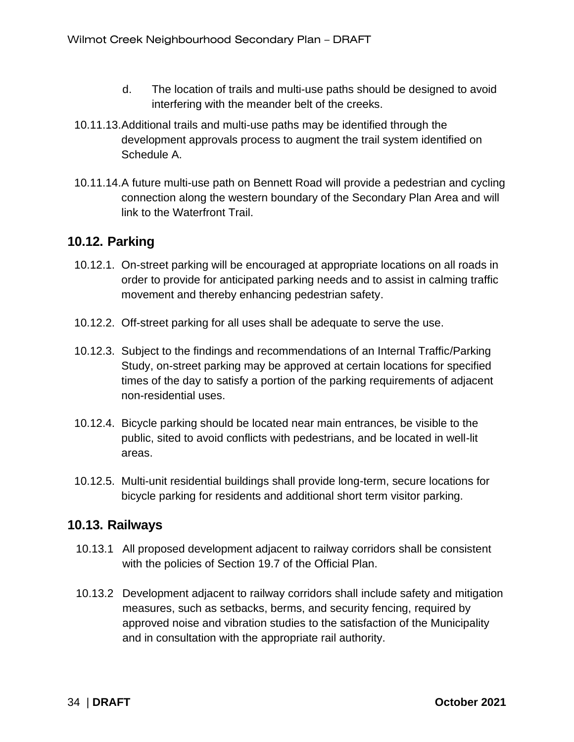- d. The location of trails and multi-use paths should be designed to avoid interfering with the meander belt of the creeks.
- 10.11.13.Additional trails and multi-use paths may be identified through the development approvals process to augment the trail system identified on Schedule A.
- 10.11.14.A future multi-use path on Bennett Road will provide a pedestrian and cycling connection along the western boundary of the Secondary Plan Area and will link to the Waterfront Trail.

### <span id="page-37-0"></span>**10.12. Parking**

- 10.12.1. On-street parking will be encouraged at appropriate locations on all roads in order to provide for anticipated parking needs and to assist in calming traffic movement and thereby enhancing pedestrian safety.
- 10.12.2. Off-street parking for all uses shall be adequate to serve the use.
- 10.12.3. Subject to the findings and recommendations of an Internal Traffic/Parking Study, on-street parking may be approved at certain locations for specified times of the day to satisfy a portion of the parking requirements of adjacent non-residential uses.
- 10.12.4. Bicycle parking should be located near main entrances, be visible to the public, sited to avoid conflicts with pedestrians, and be located in well-lit areas.
- 10.12.5. Multi-unit residential buildings shall provide long-term, secure locations for bicycle parking for residents and additional short term visitor parking.

### <span id="page-37-1"></span>**10.13. Railways**

- 10.13.1 All proposed development adjacent to railway corridors shall be consistent with the policies of Section 19.7 of the Official Plan.
- 10.13.2 Development adjacent to railway corridors shall include safety and mitigation measures, such as setbacks, berms, and security fencing, required by approved noise and vibration studies to the satisfaction of the Municipality and in consultation with the appropriate rail authority.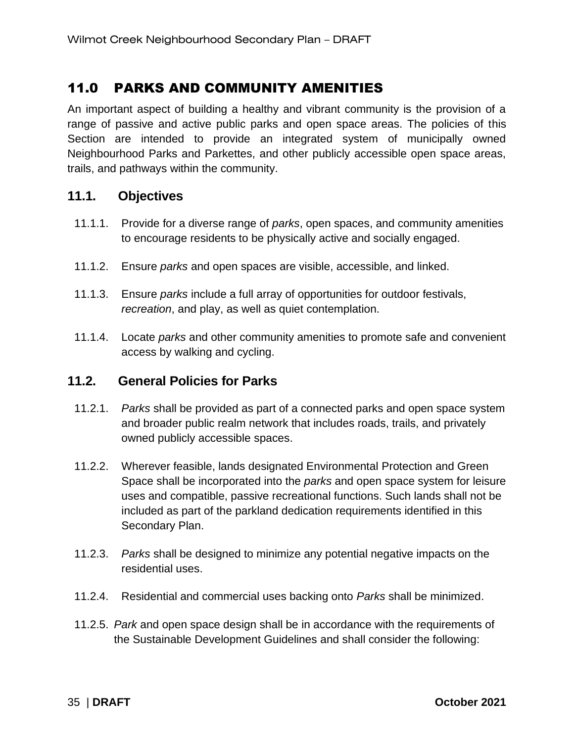### <span id="page-38-0"></span>11.0 PARKS AND COMMUNITY AMENITIES

An important aspect of building a healthy and vibrant community is the provision of a range of passive and active public parks and open space areas. The policies of this Section are intended to provide an integrated system of municipally owned Neighbourhood Parks and Parkettes, and other publicly accessible open space areas, trails, and pathways within the community.

### <span id="page-38-1"></span>**11.1. Objectives**

- 11.1.1. Provide for a diverse range of *parks*, open spaces, and community amenities to encourage residents to be physically active and socially engaged.
- 11.1.2. Ensure *parks* and open spaces are visible, accessible, and linked.
- 11.1.3. Ensure *parks* include a full array of opportunities for outdoor festivals, *recreation*, and play, as well as quiet contemplation.
- 11.1.4. Locate *parks* and other community amenities to promote safe and convenient access by walking and cycling.

### <span id="page-38-2"></span>**11.2. General Policies for Parks**

- 11.2.1. *Parks* shall be provided as part of a connected parks and open space system and broader public realm network that includes roads, trails, and privately owned publicly accessible spaces.
- 11.2.2. Wherever feasible, lands designated Environmental Protection and Green Space shall be incorporated into the *parks* and open space system for leisure uses and compatible, passive recreational functions. Such lands shall not be included as part of the parkland dedication requirements identified in this Secondary Plan.
- 11.2.3. *Parks* shall be designed to minimize any potential negative impacts on the residential uses.
- 11.2.4. Residential and commercial uses backing onto *Parks* shall be minimized.
- 11.2.5. *Park* and open space design shall be in accordance with the requirements of the Sustainable Development Guidelines and shall consider the following: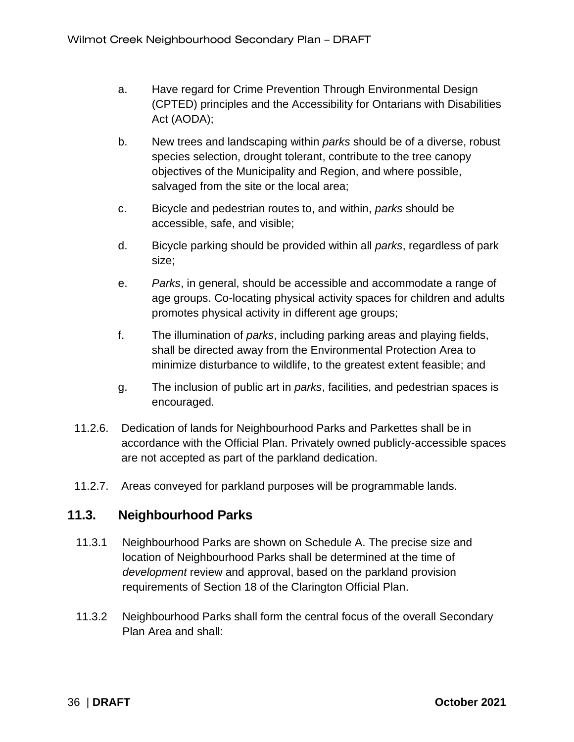- a. Have regard for Crime Prevention Through Environmental Design (CPTED) principles and the Accessibility for Ontarians with Disabilities Act (AODA);
- b. New trees and landscaping within *parks* should be of a diverse, robust species selection, drought tolerant, contribute to the tree canopy objectives of the Municipality and Region, and where possible, salvaged from the site or the local area;
- c. Bicycle and pedestrian routes to, and within, *parks* should be accessible, safe, and visible;
- d. Bicycle parking should be provided within all *parks*, regardless of park size;
- e. *Parks*, in general, should be accessible and accommodate a range of age groups. Co-locating physical activity spaces for children and adults promotes physical activity in different age groups;
- f. The illumination of *parks*, including parking areas and playing fields, shall be directed away from the Environmental Protection Area to minimize disturbance to wildlife, to the greatest extent feasible; and
- g. The inclusion of public art in *parks*, facilities, and pedestrian spaces is encouraged.
- 11.2.6. Dedication of lands for Neighbourhood Parks and Parkettes shall be in accordance with the Official Plan. Privately owned publicly-accessible spaces are not accepted as part of the parkland dedication.
- 11.2.7. Areas conveyed for parkland purposes will be programmable lands.

### <span id="page-39-0"></span>**11.3. Neighbourhood Parks**

- 11.3.1 Neighbourhood Parks are shown on Schedule A. The precise size and location of Neighbourhood Parks shall be determined at the time of *development* review and approval, based on the parkland provision requirements of Section 18 of the Clarington Official Plan.
- 11.3.2 Neighbourhood Parks shall form the central focus of the overall Secondary Plan Area and shall: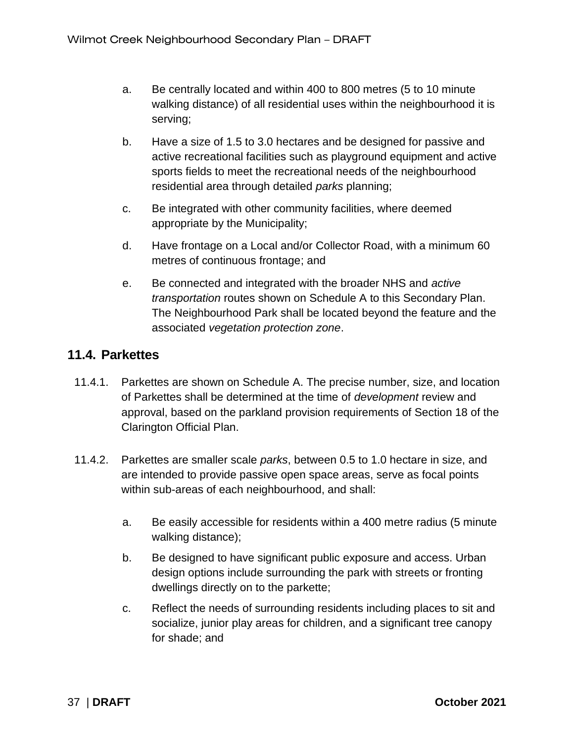- a. Be centrally located and within 400 to 800 metres (5 to 10 minute walking distance) of all residential uses within the neighbourhood it is serving;
- b. Have a size of 1.5 to 3.0 hectares and be designed for passive and active recreational facilities such as playground equipment and active sports fields to meet the recreational needs of the neighbourhood residential area through detailed *parks* planning;
- c. Be integrated with other community facilities, where deemed appropriate by the Municipality;
- d. Have frontage on a Local and/or Collector Road, with a minimum 60 metres of continuous frontage; and
- e. Be connected and integrated with the broader NHS and *active transportation* routes shown on Schedule A to this Secondary Plan. The Neighbourhood Park shall be located beyond the feature and the associated *vegetation protection zone*.

### <span id="page-40-0"></span>**11.4. Parkettes**

- 11.4.1. Parkettes are shown on Schedule A. The precise number, size, and location of Parkettes shall be determined at the time of *development* review and approval, based on the parkland provision requirements of Section 18 of the Clarington Official Plan.
- 11.4.2. Parkettes are smaller scale *parks*, between 0.5 to 1.0 hectare in size, and are intended to provide passive open space areas, serve as focal points within sub-areas of each neighbourhood, and shall:
	- a. Be easily accessible for residents within a 400 metre radius (5 minute walking distance);
	- b. Be designed to have significant public exposure and access. Urban design options include surrounding the park with streets or fronting dwellings directly on to the parkette;
	- c. Reflect the needs of surrounding residents including places to sit and socialize, junior play areas for children, and a significant tree canopy for shade; and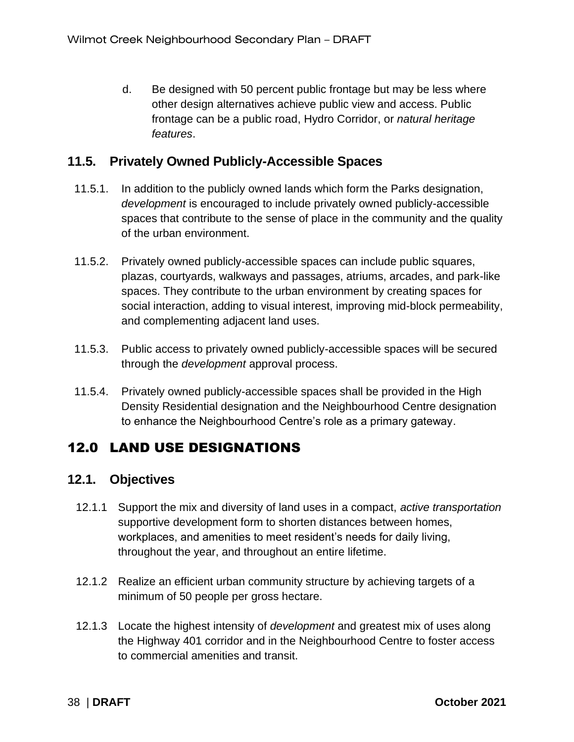d. Be designed with 50 percent public frontage but may be less where other design alternatives achieve public view and access. Public frontage can be a public road, Hydro Corridor, or *natural heritage features*.

### <span id="page-41-0"></span>**11.5. Privately Owned Publicly-Accessible Spaces**

- 11.5.1. In addition to the publicly owned lands which form the Parks designation, *development* is encouraged to include privately owned publicly-accessible spaces that contribute to the sense of place in the community and the quality of the urban environment.
- 11.5.2. Privately owned publicly-accessible spaces can include public squares, plazas, courtyards, walkways and passages, atriums, arcades, and park-like spaces. They contribute to the urban environment by creating spaces for social interaction, adding to visual interest, improving mid-block permeability, and complementing adjacent land uses.
- 11.5.3. Public access to privately owned publicly-accessible spaces will be secured through the *development* approval process.
- 11.5.4. Privately owned publicly-accessible spaces shall be provided in the High Density Residential designation and the Neighbourhood Centre designation to enhance the Neighbourhood Centre's role as a primary gateway.

### <span id="page-41-1"></span>12.0 LAND USE DESIGNATIONS

### <span id="page-41-2"></span>**12.1. Objectives**

- 12.1.1 Support the mix and diversity of land uses in a compact, *active transportation* supportive development form to shorten distances between homes, workplaces, and amenities to meet resident's needs for daily living, throughout the year, and throughout an entire lifetime.
- 12.1.2 Realize an efficient urban community structure by achieving targets of a minimum of 50 people per gross hectare.
- 12.1.3 Locate the highest intensity of *development* and greatest mix of uses along the Highway 401 corridor and in the Neighbourhood Centre to foster access to commercial amenities and transit.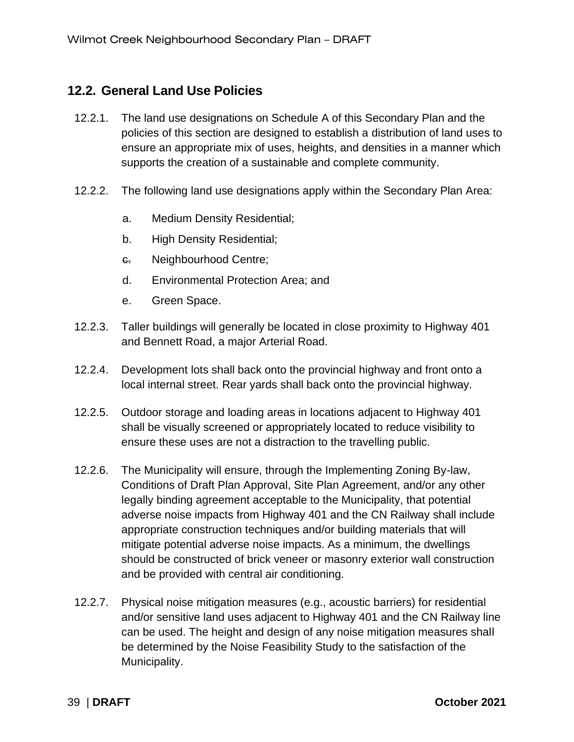### <span id="page-42-0"></span>**12.2. General Land Use Policies**

- 12.2.1. The land use designations on Schedule A of this Secondary Plan and the policies of this section are designed to establish a distribution of land uses to ensure an appropriate mix of uses, heights, and densities in a manner which supports the creation of a sustainable and complete community.
- 12.2.2. The following land use designations apply within the Secondary Plan Area:
	- a. Medium Density Residential;
	- b. High Density Residential;
	- c. Neighbourhood Centre;
	- d. Environmental Protection Area; and
	- e. Green Space.
- 12.2.3. Taller buildings will generally be located in close proximity to Highway 401 and Bennett Road, a major Arterial Road.
- 12.2.4. Development lots shall back onto the provincial highway and front onto a local internal street. Rear yards shall back onto the provincial highway.
- 12.2.5. Outdoor storage and loading areas in locations adjacent to Highway 401 shall be visually screened or appropriately located to reduce visibility to ensure these uses are not a distraction to the travelling public.
- 12.2.6. The Municipality will ensure, through the Implementing Zoning By-law, Conditions of Draft Plan Approval, Site Plan Agreement, and/or any other legally binding agreement acceptable to the Municipality, that potential adverse noise impacts from Highway 401 and the CN Railway shall include appropriate construction techniques and/or building materials that will mitigate potential adverse noise impacts. As a minimum, the dwellings should be constructed of brick veneer or masonry exterior wall construction and be provided with central air conditioning.
- 12.2.7. Physical noise mitigation measures (e.g., acoustic barriers) for residential and/or sensitive land uses adjacent to Highway 401 and the CN Railway line can be used. The height and design of any noise mitigation measures shall be determined by the Noise Feasibility Study to the satisfaction of the Municipality.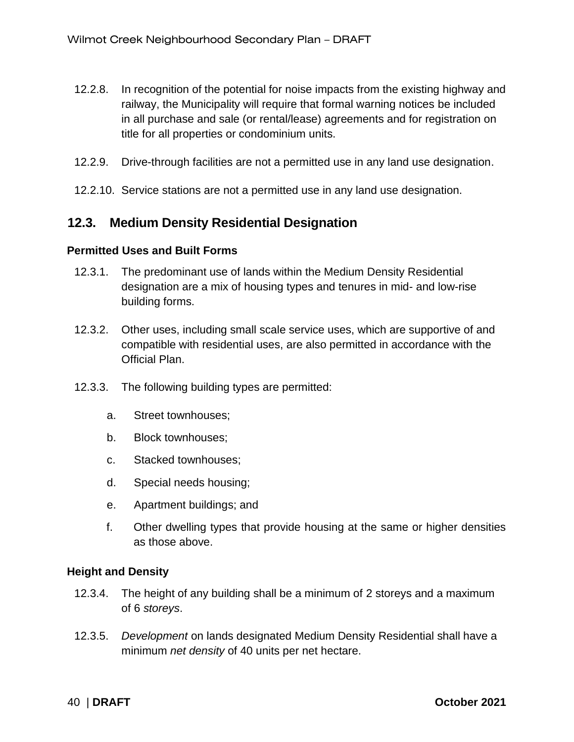- 12.2.8. In recognition of the potential for noise impacts from the existing highway and railway, the Municipality will require that formal warning notices be included in all purchase and sale (or rental/lease) agreements and for registration on title for all properties or condominium units.
- 12.2.9. Drive-through facilities are not a permitted use in any land use designation.
- 12.2.10. Service stations are not a permitted use in any land use designation.

### <span id="page-43-0"></span>**12.3. Medium Density Residential Designation**

#### **Permitted Uses and Built Forms**

- 12.3.1. The predominant use of lands within the Medium Density Residential designation are a mix of housing types and tenures in mid- and low-rise building forms.
- 12.3.2. Other uses, including small scale service uses, which are supportive of and compatible with residential uses, are also permitted in accordance with the Official Plan.
- 12.3.3. The following building types are permitted:
	- a. Street townhouses;
	- b. Block townhouses;
	- c. Stacked townhouses;
	- d. Special needs housing;
	- e. Apartment buildings; and
	- f. Other dwelling types that provide housing at the same or higher densities as those above.

#### **Height and Density**

- 12.3.4. The height of any building shall be a minimum of 2 storeys and a maximum of 6 *storeys*.
- 12.3.5. *Development* on lands designated Medium Density Residential shall have a minimum *net density* of 40 units per net hectare.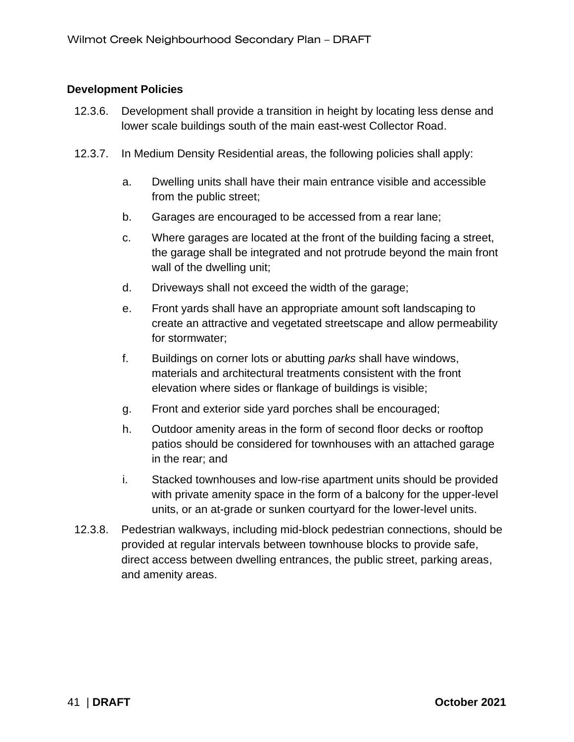#### **Development Policies**

- 12.3.6. Development shall provide a transition in height by locating less dense and lower scale buildings south of the main east-west Collector Road.
- 12.3.7. In Medium Density Residential areas, the following policies shall apply:
	- a. Dwelling units shall have their main entrance visible and accessible from the public street;
	- b. Garages are encouraged to be accessed from a rear lane;
	- c. Where garages are located at the front of the building facing a street, the garage shall be integrated and not protrude beyond the main front wall of the dwelling unit;
	- d. Driveways shall not exceed the width of the garage;
	- e. Front yards shall have an appropriate amount soft landscaping to create an attractive and vegetated streetscape and allow permeability for stormwater;
	- f. Buildings on corner lots or abutting *parks* shall have windows, materials and architectural treatments consistent with the front elevation where sides or flankage of buildings is visible;
	- g. Front and exterior side yard porches shall be encouraged;
	- h. Outdoor amenity areas in the form of second floor decks or rooftop patios should be considered for townhouses with an attached garage in the rear; and
	- i. Stacked townhouses and low-rise apartment units should be provided with private amenity space in the form of a balcony for the upper-level units, or an at-grade or sunken courtyard for the lower-level units.
- 12.3.8. Pedestrian walkways, including mid-block pedestrian connections, should be provided at regular intervals between townhouse blocks to provide safe, direct access between dwelling entrances, the public street, parking areas, and amenity areas.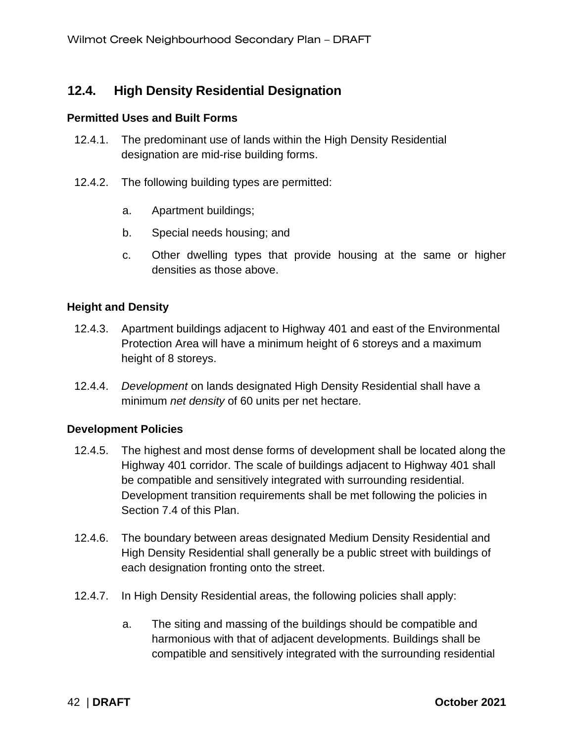### <span id="page-45-0"></span>**12.4. High Density Residential Designation**

#### **Permitted Uses and Built Forms**

- 12.4.1. The predominant use of lands within the High Density Residential designation are mid-rise building forms.
- 12.4.2. The following building types are permitted:
	- a. Apartment buildings;
	- b. Special needs housing; and
	- c. Other dwelling types that provide housing at the same or higher densities as those above.

#### **Height and Density**

- 12.4.3. Apartment buildings adjacent to Highway 401 and east of the Environmental Protection Area will have a minimum height of 6 storeys and a maximum height of 8 storeys.
- 12.4.4. *Development* on lands designated High Density Residential shall have a minimum *net density* of 60 units per net hectare.

#### **Development Policies**

- 12.4.5. The highest and most dense forms of development shall be located along the Highway 401 corridor. The scale of buildings adjacent to Highway 401 shall be compatible and sensitively integrated with surrounding residential. Development transition requirements shall be met following the policies in Section 7.4 of this Plan.
- 12.4.6. The boundary between areas designated Medium Density Residential and High Density Residential shall generally be a public street with buildings of each designation fronting onto the street.
- 12.4.7. In High Density Residential areas, the following policies shall apply:
	- a. The siting and massing of the buildings should be compatible and harmonious with that of adjacent developments. Buildings shall be compatible and sensitively integrated with the surrounding residential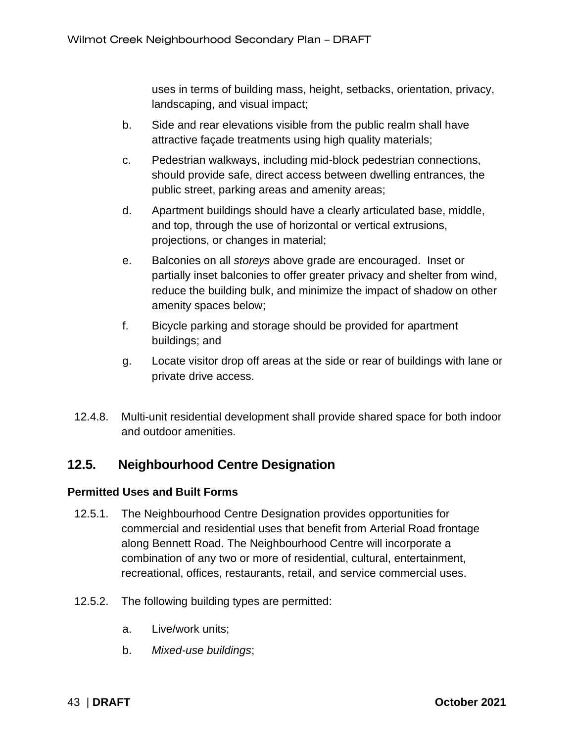uses in terms of building mass, height, setbacks, orientation, privacy, landscaping, and visual impact;

- b. Side and rear elevations visible from the public realm shall have attractive façade treatments using high quality materials;
- c. Pedestrian walkways, including mid-block pedestrian connections, should provide safe, direct access between dwelling entrances, the public street, parking areas and amenity areas;
- d. Apartment buildings should have a clearly articulated base, middle, and top, through the use of horizontal or vertical extrusions, projections, or changes in material;
- e. Balconies on all *storeys* above grade are encouraged. Inset or partially inset balconies to offer greater privacy and shelter from wind, reduce the building bulk, and minimize the impact of shadow on other amenity spaces below;
- f. Bicycle parking and storage should be provided for apartment buildings; and
- g. Locate visitor drop off areas at the side or rear of buildings with lane or private drive access.
- 12.4.8. Multi-unit residential development shall provide shared space for both indoor and outdoor amenities.

### <span id="page-46-0"></span>**12.5. Neighbourhood Centre Designation**

#### **Permitted Uses and Built Forms**

- 12.5.1. The Neighbourhood Centre Designation provides opportunities for commercial and residential uses that benefit from Arterial Road frontage along Bennett Road. The Neighbourhood Centre will incorporate a combination of any two or more of residential, cultural, entertainment, recreational, offices, restaurants, retail, and service commercial uses.
- 12.5.2. The following building types are permitted:
	- a. Live/work units;
	- b. *Mixed-use buildings*;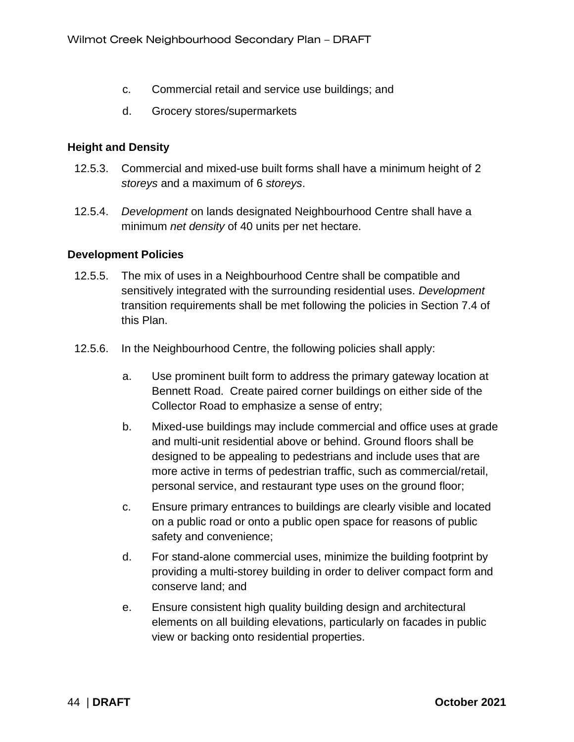- c. Commercial retail and service use buildings; and
- d. Grocery stores/supermarkets

#### **Height and Density**

- 12.5.3. Commercial and mixed-use built forms shall have a minimum height of 2 *storeys* and a maximum of 6 *storeys*.
- 12.5.4. *Development* on lands designated Neighbourhood Centre shall have a minimum *net density* of 40 units per net hectare.

#### **Development Policies**

- 12.5.5. The mix of uses in a Neighbourhood Centre shall be compatible and sensitively integrated with the surrounding residential uses. *Development* transition requirements shall be met following the policies in Section 7.4 of this Plan.
- 12.5.6. In the Neighbourhood Centre, the following policies shall apply:
	- a. Use prominent built form to address the primary gateway location at Bennett Road. Create paired corner buildings on either side of the Collector Road to emphasize a sense of entry;
	- b. Mixed-use buildings may include commercial and office uses at grade and multi-unit residential above or behind. Ground floors shall be designed to be appealing to pedestrians and include uses that are more active in terms of pedestrian traffic, such as commercial/retail, personal service, and restaurant type uses on the ground floor;
	- c. Ensure primary entrances to buildings are clearly visible and located on a public road or onto a public open space for reasons of public safety and convenience;
	- d. For stand-alone commercial uses, minimize the building footprint by providing a multi-storey building in order to deliver compact form and conserve land; and
	- e. Ensure consistent high quality building design and architectural elements on all building elevations, particularly on facades in public view or backing onto residential properties.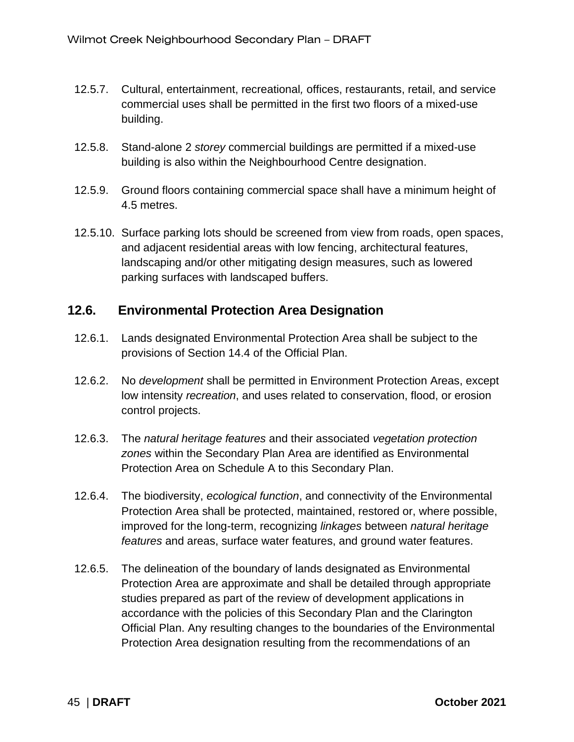- 12.5.7. Cultural, entertainment, recreational*,* offices, restaurants, retail, and service commercial uses shall be permitted in the first two floors of a mixed-use building.
- 12.5.8. Stand-alone 2 *storey* commercial buildings are permitted if a mixed-use building is also within the Neighbourhood Centre designation.
- 12.5.9. Ground floors containing commercial space shall have a minimum height of 4.5 metres.
- 12.5.10. Surface parking lots should be screened from view from roads, open spaces, and adjacent residential areas with low fencing, architectural features, landscaping and/or other mitigating design measures, such as lowered parking surfaces with landscaped buffers.

### <span id="page-48-0"></span>**12.6. Environmental Protection Area Designation**

- 12.6.1. Lands designated Environmental Protection Area shall be subject to the provisions of Section 14.4 of the Official Plan.
- 12.6.2. No *development* shall be permitted in Environment Protection Areas, except low intensity *recreation*, and uses related to conservation, flood, or erosion control projects.
- 12.6.3. The *natural heritage features* and their associated *vegetation protection zones* within the Secondary Plan Area are identified as Environmental Protection Area on Schedule A to this Secondary Plan.
- 12.6.4. The biodiversity, *ecological function*, and connectivity of the Environmental Protection Area shall be protected, maintained, restored or, where possible, improved for the long-term, recognizing *linkages* between *natural heritage features* and areas, surface water features, and ground water features.
- 12.6.5. The delineation of the boundary of lands designated as Environmental Protection Area are approximate and shall be detailed through appropriate studies prepared as part of the review of development applications in accordance with the policies of this Secondary Plan and the Clarington Official Plan. Any resulting changes to the boundaries of the Environmental Protection Area designation resulting from the recommendations of an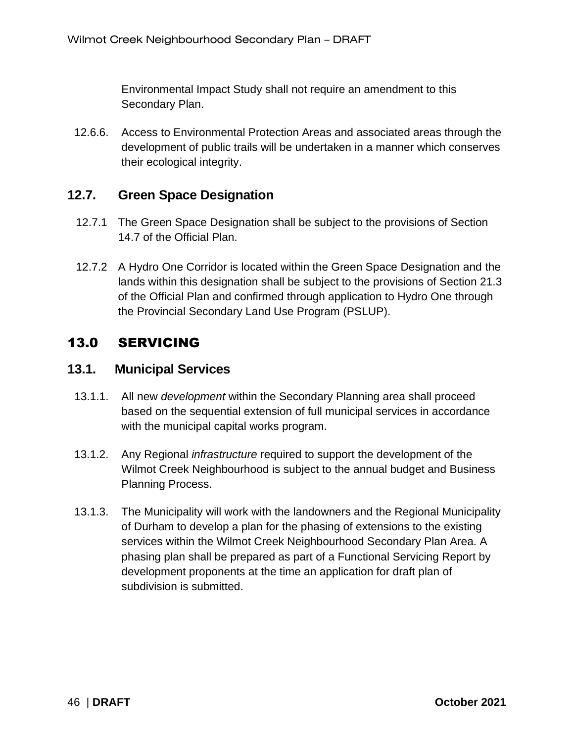Environmental Impact Study shall not require an amendment to this Secondary Plan.

12.6.6. Access to Environmental Protection Areas and associated areas through the development of public trails will be undertaken in a manner which conserves their ecological integrity.

### <span id="page-49-0"></span>**12.7. Green Space Designation**

- 12.7.1 The Green Space Designation shall be subject to the provisions of Section 14.7 of the Official Plan.
- 12.7.2 A Hydro One Corridor is located within the Green Space Designation and the lands within this designation shall be subject to the provisions of Section 21.3 of the Official Plan and confirmed through application to Hydro One through the Provincial Secondary Land Use Program (PSLUP).

### <span id="page-49-1"></span>13.0 SERVICING

### <span id="page-49-2"></span>**13.1. Municipal Services**

- 13.1.1. All new *development* within the Secondary Planning area shall proceed based on the sequential extension of full municipal services in accordance with the municipal capital works program.
- 13.1.2. Any Regional *infrastructure* required to support the development of the Wilmot Creek Neighbourhood is subject to the annual budget and Business Planning Process.
- 13.1.3. The Municipality will work with the landowners and the Regional Municipality of Durham to develop a plan for the phasing of extensions to the existing services within the Wilmot Creek Neighbourhood Secondary Plan Area. A phasing plan shall be prepared as part of a Functional Servicing Report by development proponents at the time an application for draft plan of subdivision is submitted.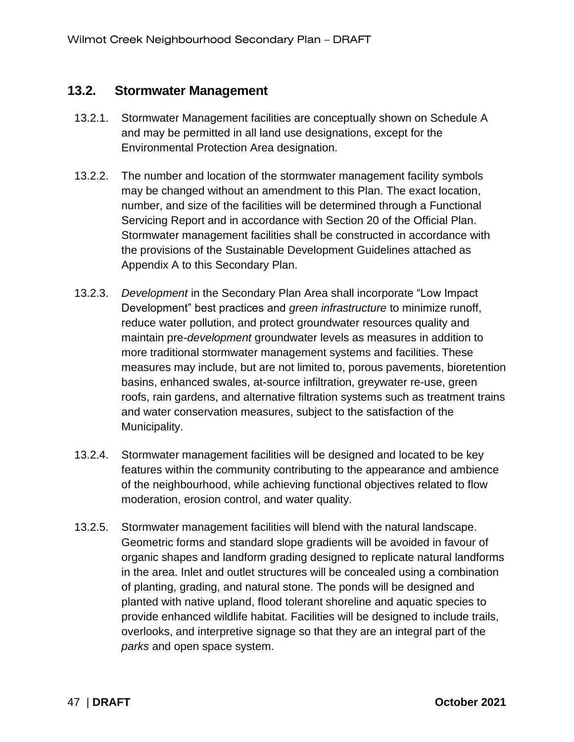### <span id="page-50-0"></span>**13.2. Stormwater Management**

- 13.2.1. Stormwater Management facilities are conceptually shown on Schedule A and may be permitted in all land use designations, except for the Environmental Protection Area designation.
- 13.2.2. The number and location of the stormwater management facility symbols may be changed without an amendment to this Plan. The exact location, number, and size of the facilities will be determined through a Functional Servicing Report and in accordance with Section 20 of the Official Plan. Stormwater management facilities shall be constructed in accordance with the provisions of the Sustainable Development Guidelines attached as Appendix A to this Secondary Plan.
- 13.2.3. *Development* in the Secondary Plan Area shall incorporate "Low Impact Development" best practices and *green infrastructure* to minimize runoff, reduce water pollution, and protect groundwater resources quality and maintain pre-*development* groundwater levels as measures in addition to more traditional stormwater management systems and facilities. These measures may include, but are not limited to, porous pavements, bioretention basins, enhanced swales, at-source infiltration, greywater re-use, green roofs, rain gardens, and alternative filtration systems such as treatment trains and water conservation measures, subject to the satisfaction of the Municipality.
- 13.2.4. Stormwater management facilities will be designed and located to be key features within the community contributing to the appearance and ambience of the neighbourhood, while achieving functional objectives related to flow moderation, erosion control, and water quality.
- 13.2.5. Stormwater management facilities will blend with the natural landscape. Geometric forms and standard slope gradients will be avoided in favour of organic shapes and landform grading designed to replicate natural landforms in the area. Inlet and outlet structures will be concealed using a combination of planting, grading, and natural stone. The ponds will be designed and planted with native upland, flood tolerant shoreline and aquatic species to provide enhanced wildlife habitat. Facilities will be designed to include trails, overlooks, and interpretive signage so that they are an integral part of the *parks* and open space system.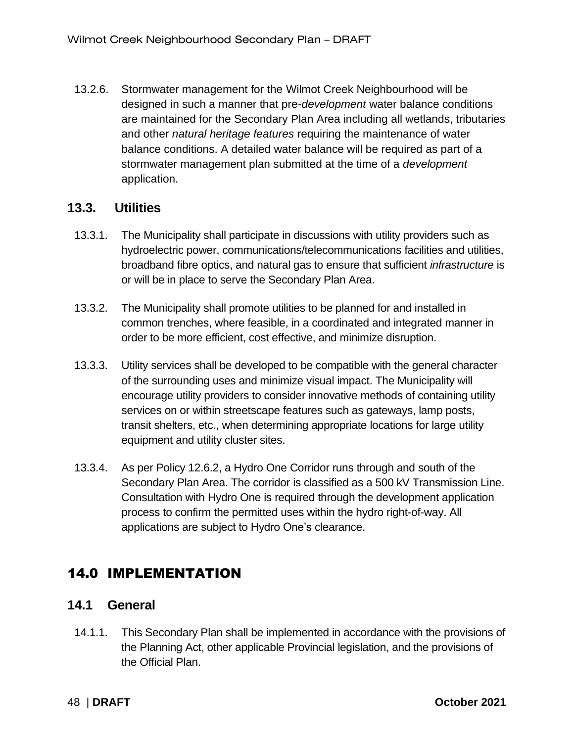13.2.6. Stormwater management for the Wilmot Creek Neighbourhood will be designed in such a manner that pre-*development* water balance conditions are maintained for the Secondary Plan Area including all wetlands, tributaries and other *natural heritage features* requiring the maintenance of water balance conditions. A detailed water balance will be required as part of a stormwater management plan submitted at the time of a *development* application.

### <span id="page-51-0"></span>**13.3. Utilities**

- 13.3.1. The Municipality shall participate in discussions with utility providers such as hydroelectric power, communications/telecommunications facilities and utilities, broadband fibre optics, and natural gas to ensure that sufficient *infrastructure* is or will be in place to serve the Secondary Plan Area.
- 13.3.2. The Municipality shall promote utilities to be planned for and installed in common trenches, where feasible, in a coordinated and integrated manner in order to be more efficient, cost effective, and minimize disruption.
- 13.3.3. Utility services shall be developed to be compatible with the general character of the surrounding uses and minimize visual impact. The Municipality will encourage utility providers to consider innovative methods of containing utility services on or within streetscape features such as gateways, lamp posts, transit shelters, etc., when determining appropriate locations for large utility equipment and utility cluster sites.
- 13.3.4. As per Policy 12.6.2, a Hydro One Corridor runs through and south of the Secondary Plan Area. The corridor is classified as a 500 kV Transmission Line. Consultation with Hydro One is required through the development application process to confirm the permitted uses within the hydro right-of-way. All applications are subject to Hydro One's clearance.

### <span id="page-51-1"></span>14.0 IMPLEMENTATION

### <span id="page-51-2"></span>**14.1 General**

14.1.1. This Secondary Plan shall be implemented in accordance with the provisions of the Planning Act, other applicable Provincial legislation, and the provisions of the Official Plan.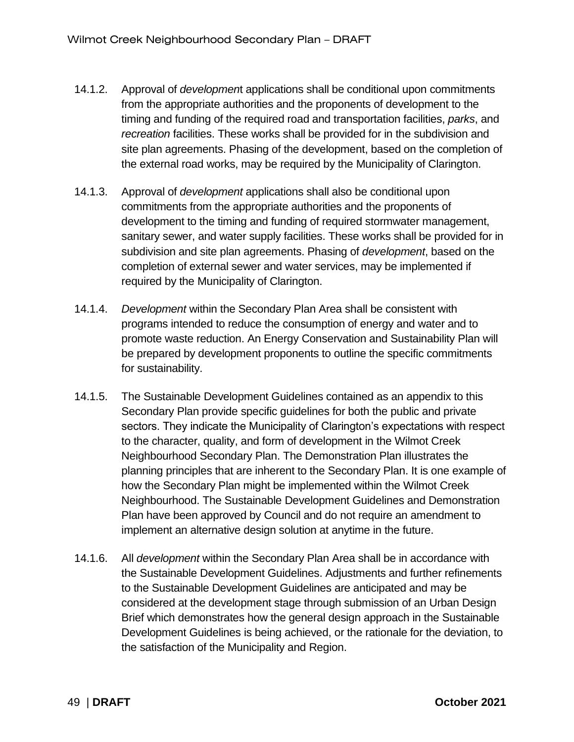- 14.1.2. Approval of *developmen*t applications shall be conditional upon commitments from the appropriate authorities and the proponents of development to the timing and funding of the required road and transportation facilities, *parks*, and *recreation* facilities. These works shall be provided for in the subdivision and site plan agreements. Phasing of the development, based on the completion of the external road works, may be required by the Municipality of Clarington.
- 14.1.3. Approval of *development* applications shall also be conditional upon commitments from the appropriate authorities and the proponents of development to the timing and funding of required stormwater management, sanitary sewer, and water supply facilities. These works shall be provided for in subdivision and site plan agreements. Phasing of *development*, based on the completion of external sewer and water services, may be implemented if required by the Municipality of Clarington.
- 14.1.4. *Development* within the Secondary Plan Area shall be consistent with programs intended to reduce the consumption of energy and water and to promote waste reduction. An Energy Conservation and Sustainability Plan will be prepared by development proponents to outline the specific commitments for sustainability.
- 14.1.5. The Sustainable Development Guidelines contained as an appendix to this Secondary Plan provide specific guidelines for both the public and private sectors. They indicate the Municipality of Clarington's expectations with respect to the character, quality, and form of development in the Wilmot Creek Neighbourhood Secondary Plan. The Demonstration Plan illustrates the planning principles that are inherent to the Secondary Plan. It is one example of how the Secondary Plan might be implemented within the Wilmot Creek Neighbourhood. The Sustainable Development Guidelines and Demonstration Plan have been approved by Council and do not require an amendment to implement an alternative design solution at anytime in the future.
- 14.1.6. All *development* within the Secondary Plan Area shall be in accordance with the Sustainable Development Guidelines. Adjustments and further refinements to the Sustainable Development Guidelines are anticipated and may be considered at the development stage through submission of an Urban Design Brief which demonstrates how the general design approach in the Sustainable Development Guidelines is being achieved, or the rationale for the deviation, to the satisfaction of the Municipality and Region.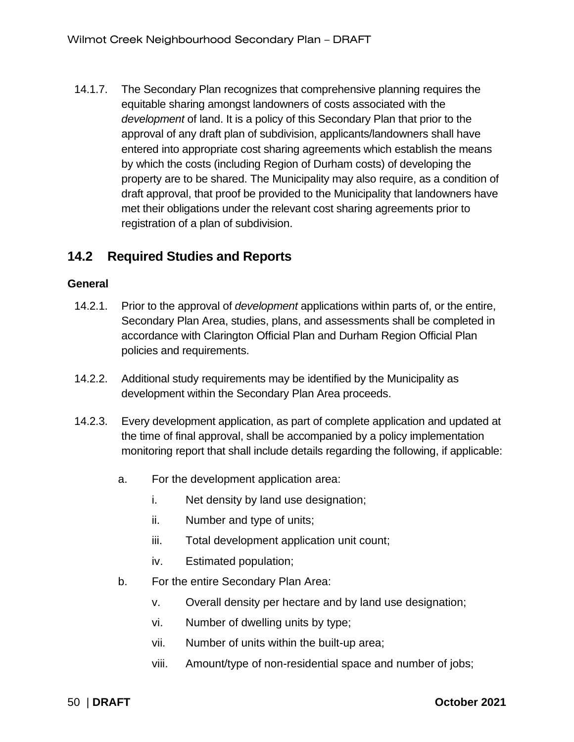14.1.7. The Secondary Plan recognizes that comprehensive planning requires the equitable sharing amongst landowners of costs associated with the *development* of land. It is a policy of this Secondary Plan that prior to the approval of any draft plan of subdivision, applicants/landowners shall have entered into appropriate cost sharing agreements which establish the means by which the costs (including Region of Durham costs) of developing the property are to be shared. The Municipality may also require, as a condition of draft approval, that proof be provided to the Municipality that landowners have met their obligations under the relevant cost sharing agreements prior to registration of a plan of subdivision.

### <span id="page-53-0"></span>**14.2 Required Studies and Reports**

#### **General**

- 14.2.1. Prior to the approval of *development* applications within parts of, or the entire, Secondary Plan Area, studies, plans, and assessments shall be completed in accordance with Clarington Official Plan and Durham Region Official Plan policies and requirements.
- 14.2.2. Additional study requirements may be identified by the Municipality as development within the Secondary Plan Area proceeds.
- 14.2.3. Every development application, as part of complete application and updated at the time of final approval, shall be accompanied by a policy implementation monitoring report that shall include details regarding the following, if applicable:
	- a. For the development application area:
		- i. Net density by land use designation;
		- ii. Number and type of units;
		- iii. Total development application unit count;
		- iv. Estimated population;
	- b. For the entire Secondary Plan Area:
		- v. Overall density per hectare and by land use designation;
		- vi. Number of dwelling units by type;
		- vii. Number of units within the built-up area;
		- viii. Amount/type of non-residential space and number of jobs;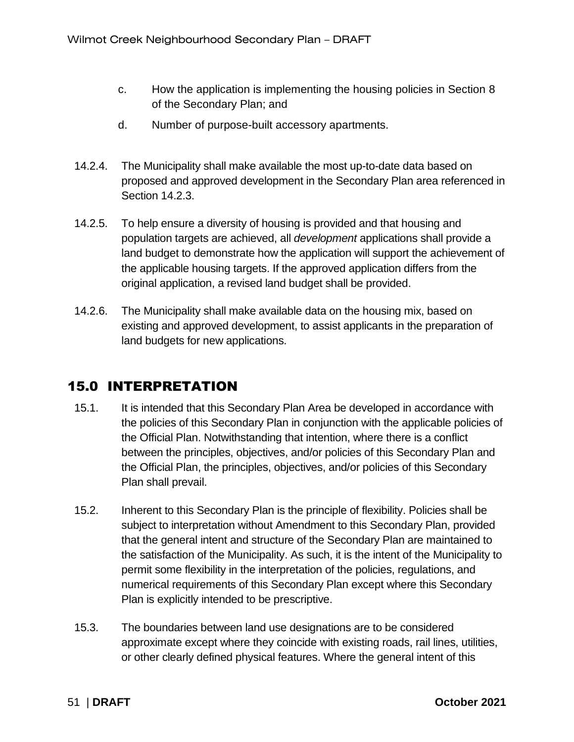- c. How the application is implementing the housing policies in Section 8 of the Secondary Plan; and
- d. Number of purpose-built accessory apartments.
- 14.2.4. The Municipality shall make available the most up-to-date data based on proposed and approved development in the Secondary Plan area referenced in Section 14.2.3.
- 14.2.5. To help ensure a diversity of housing is provided and that housing and population targets are achieved, all *development* applications shall provide a land budget to demonstrate how the application will support the achievement of the applicable housing targets. If the approved application differs from the original application, a revised land budget shall be provided.
- 14.2.6. The Municipality shall make available data on the housing mix, based on existing and approved development, to assist applicants in the preparation of land budgets for new applications.

### <span id="page-54-0"></span>15.0 INTERPRETATION

- 15.1. It is intended that this Secondary Plan Area be developed in accordance with the policies of this Secondary Plan in conjunction with the applicable policies of the Official Plan. Notwithstanding that intention, where there is a conflict between the principles, objectives, and/or policies of this Secondary Plan and the Official Plan, the principles, objectives, and/or policies of this Secondary Plan shall prevail.
- 15.2. Inherent to this Secondary Plan is the principle of flexibility. Policies shall be subject to interpretation without Amendment to this Secondary Plan, provided that the general intent and structure of the Secondary Plan are maintained to the satisfaction of the Municipality. As such, it is the intent of the Municipality to permit some flexibility in the interpretation of the policies, regulations, and numerical requirements of this Secondary Plan except where this Secondary Plan is explicitly intended to be prescriptive.
- 15.3. The boundaries between land use designations are to be considered approximate except where they coincide with existing roads, rail lines, utilities, or other clearly defined physical features. Where the general intent of this